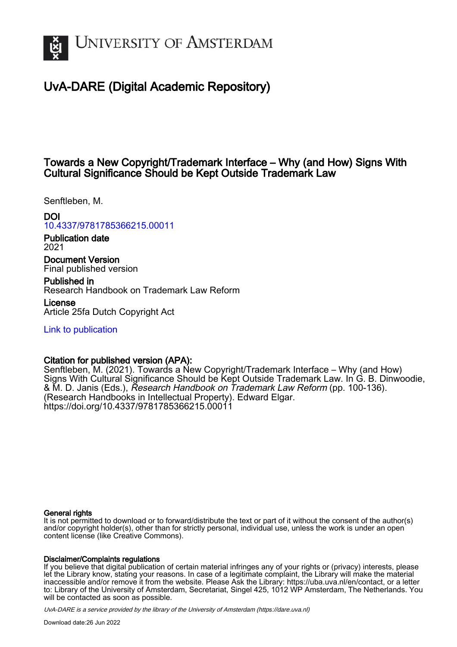

# UvA-DARE (Digital Academic Repository)

# Towards a New Copyright/Trademark Interface – Why (and How) Signs With Cultural Significance Should be Kept Outside Trademark Law

Senftleben, M.

# DOI

[10.4337/9781785366215.00011](https://doi.org/10.4337/9781785366215.00011)

Publication date 2021

Document Version Final published version

Published in Research Handbook on Trademark Law Reform

License Article 25fa Dutch Copyright Act

[Link to publication](https://dare.uva.nl/personal/pure/en/publications/towards-a-new-copyrighttrademark-interface--why-and-how-signs-with-cultural-significance-should-be-kept-outside-trademark-law(f4269421-d834-426e-8256-a51802e2bde2).html)

# Citation for published version (APA):

Senftleben, M. (2021). Towards a New Copyright/Trademark Interface – Why (and How) Signs With Cultural Significance Should be Kept Outside Trademark Law. In G. B. Dinwoodie, & M. D. Janis (Eds.), *Research Handbook on Trademark Law Reform* (pp. 100-136). (Research Handbooks in Intellectual Property). Edward Elgar. <https://doi.org/10.4337/9781785366215.00011>

#### General rights

It is not permitted to download or to forward/distribute the text or part of it without the consent of the author(s) and/or copyright holder(s), other than for strictly personal, individual use, unless the work is under an open content license (like Creative Commons).

#### Disclaimer/Complaints regulations

If you believe that digital publication of certain material infringes any of your rights or (privacy) interests, please let the Library know, stating your reasons. In case of a legitimate complaint, the Library will make the material inaccessible and/or remove it from the website. Please Ask the Library: https://uba.uva.nl/en/contact, or a letter to: Library of the University of Amsterdam, Secretariat, Singel 425, 1012 WP Amsterdam, The Netherlands. You will be contacted as soon as possible.

UvA-DARE is a service provided by the library of the University of Amsterdam (http*s*://dare.uva.nl)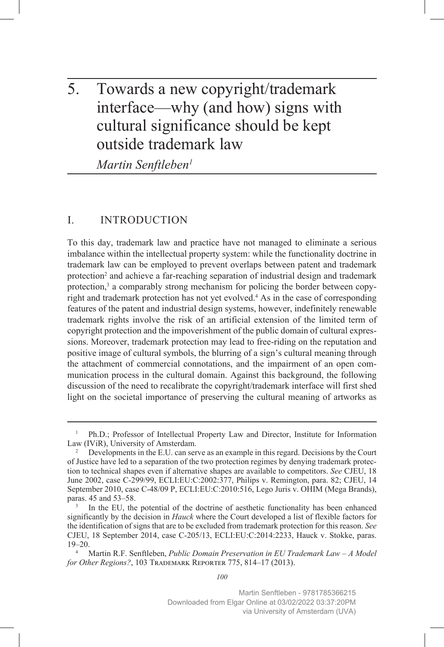# 5. Towards a new copyright/trademark interface—why (and how) signs with cultural significance should be kept outside trademark law

*Martin Senftleben1*

# I. INTRODUCTION

To this day, trademark law and practice have not managed to eliminate a serious imbalance within the intellectual property system: while the functionality doctrine in trademark law can be employed to prevent overlaps between patent and trademark protection<sup>2</sup> and achieve a far-reaching separation of industrial design and trademark protection,<sup>3</sup> a comparably strong mechanism for policing the border between copyright and trademark protection has not yet evolved.<sup>4</sup> As in the case of corresponding features of the patent and industrial design systems, however, indefinitely renewable trademark rights involve the risk of an artificial extension of the limited term of copyright protection and the impoverishment of the public domain of cultural expressions. Moreover, trademark protection may lead to free-riding on the reputation and positive image of cultural symbols, the blurring of a sign's cultural meaning through the attachment of commercial connotations, and the impairment of an open communication process in the cultural domain. Against this background, the following discussion of the need to recalibrate the copyright/trademark interface will first shed light on the societal importance of preserving the cultural meaning of artworks as

<sup>&</sup>lt;sup>1</sup> Ph.D.; Professor of Intellectual Property Law and Director, Institute for Information Law (IViR), University of Amsterdam.

<sup>2</sup> Developments in the E.U. can serve as an example in this regard. Decisions by the Court of Justice have led to a separation of the two protection regimes by denying trademark protection to technical shapes even if alternative shapes are available to competitors. *See* CJEU, 18 June 2002, case C-299/99, ECLI:EU:C:2002:377, Philips v. Remington, para. 82; CJEU, 14 September 2010, case C-48/09 P, ECLI:EU:C:2010:516, Lego Juris v. OHIM (Mega Brands), paras. 45 and 53–58.<br><sup>3</sup> In the EU, the potential of the doctrine of aesthetic functionality has been enhanced

significantly by the decision in *Hauck* where the Court developed a list of flexible factors for the identification of signs that are to be excluded from trademark protection for this reason. *See*  CJEU, 18 September 2014, case C-205/13, ECLI:EU:C:2014:2233, Hauck v. Stokke, paras. 19–20.

<sup>4</sup> Martin R.F. Senftleben, *Public Domain Preservation in EU Trademark Law – A Model for Other Regions?*, 103 Trademark Reporter 775, 814–17 (2013).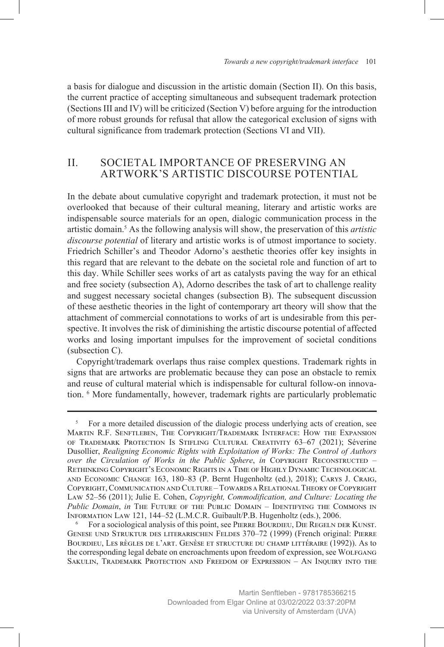a basis for dialogue and discussion in the artistic domain (Section II). On this basis, the current practice of accepting simultaneous and subsequent trademark protection (Sections III and IV) will be criticized (Section V) before arguing for the introduction of more robust grounds for refusal that allow the categorical exclusion of signs with cultural significance from trademark protection (Sections VI and VII).

## II. SOCIETAL IMPORTANCE OF PRESERVING AN ARTWORK'S ARTISTIC DISCOURSE POTENTIAL

In the debate about cumulative copyright and trademark protection, it must not be overlooked that because of their cultural meaning, literary and artistic works are indispensable source materials for an open, dialogic communication process in the artistic domain.5 As the following analysis will show, the preservation of this *artistic discourse potential* of literary and artistic works is of utmost importance to society. Friedrich Schiller's and Theodor Adorno's aesthetic theories offer key insights in this regard that are relevant to the debate on the societal role and function of art to this day. While Schiller sees works of art as catalysts paving the way for an ethical and free society (subsection A), Adorno describes the task of art to challenge reality and suggest necessary societal changes (subsection B). The subsequent discussion of these aesthetic theories in the light of contemporary art theory will show that the attachment of commercial connotations to works of art is undesirable from this perspective. It involves the risk of diminishing the artistic discourse potential of affected works and losing important impulses for the improvement of societal conditions (subsection C).

Copyright/trademark overlaps thus raise complex questions. Trademark rights in signs that are artworks are problematic because they can pose an obstacle to remix and reuse of cultural material which is indispensable for cultural follow-on innovation. 6 More fundamentally, however, trademark rights are particularly problematic

For a sociological analysis of this point, see PIERRE BOURDIEU, DIE REGELN DER KUNST. Genese und Struktur des literarischen Feldes 370–72 (1999) (French original: Pierre Bourdieu, Les règles de l'art. Genèse et structure du champ littéraire (1992)). As to the corresponding legal debate on encroachments upon freedom of expression, see Wolfgang Sakulin, Trademark Protection and Freedom of Expression – An Inquiry into the

<sup>&</sup>lt;sup>5</sup> For a more detailed discussion of the dialogic process underlying acts of creation, see Martin R.F. Senftleben, The Copyright/Trademark Interface: How the Expansion of Trademark Protection Is Stifling Cultural Creativity 63–67 (2021); Séverine Dusollier, *Realigning Economic Rights with Exploitation of Works: The Control of Authors over the Circulation of Works in the Public Sphere*, *in* Copyright Reconstructed – Rethinking Copyright's Economic Rights in a Time of Highly Dynamic Technological and Economic Change 163, 180–83 (P. Bernt Hugenholtz (ed.), 2018); Carys J. Craig, Copyright, Communication and Culture – Towards a Relational Theory of Copyright Law 52–56 (2011); Julie E. Cohen, *Copyright, Commodification, and Culture: Locating the Public Domain*, *in* The Future of the Public Domain – Identifying the Commons in Information Law 121, 144–52 (L.M.C.R. Guibault/P.B. Hugenholtz (eds.), 2006.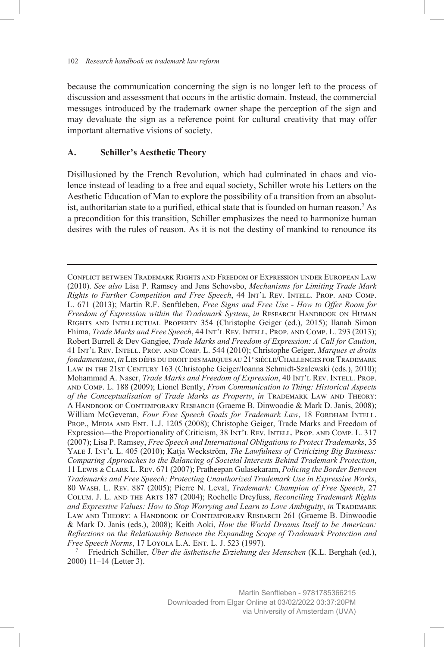because the communication concerning the sign is no longer left to the process of discussion and assessment that occurs in the artistic domain. Instead, the commercial messages introduced by the trademark owner shape the perception of the sign and may devaluate the sign as a reference point for cultural creativity that may offer important alternative visions of society.

#### **A. Schiller's Aesthetic Theory**

Disillusioned by the French Revolution, which had culminated in chaos and violence instead of leading to a free and equal society, Schiller wrote his Letters on the Aesthetic Education of Man to explore the possibility of a transition from an absolutist, authoritarian state to a purified, ethical state that is founded on human reason.7 As a precondition for this transition, Schiller emphasizes the need to harmonize human desires with the rules of reason. As it is not the destiny of mankind to renounce its

Conflict between Trademark Rights and Freedom of Expression under European Law (2010). *See also* Lisa P. Ramsey and Jens Schovsbo, *Mechanisms for Limiting Trade Mark Rights to Further Competition and Free Speech*, 44 Int'l Rev. Intell. Prop. and Comp. L. 671 (2013); Martin R.F. Senftleben, *Free Signs and Free Use - How to Offer Room for Freedom of Expression within the Trademark System*, *in* Research Handbook on Human Rights and Intellectual Property 354 (Christophe Geiger (ed.), 2015); Ilanah Simon Fhima, *Trade Marks and Free Speech*, 44 Int'l Rev. Intell. Prop. and Comp. L. 293 (2013); Robert Burrell & Dev Gangjee, *Trade Marks and Freedom of Expression: A Call for Caution*, 41 Int'l Rev. Intell. Prop. and Comp. L. 544 (2010); Christophe Geiger, *Marques et droits fondamentaux, in* Les défis du droit des marques au 21<sup>e</sup> siècle/Challenges for Trademark LAW IN THE 21st CENTURY 163 (Christophe Geiger/Ioanna Schmidt-Szalewski (eds.), 2010); Mohammad A. Naser, *Trade Marks and Freedom of Expression*, 40 Int'l Rev. Intell. Prop. and Comp. L. 188 (2009); Lionel Bently, *From Communication to Thing: Historical Aspects of the Conceptualisation of Trade Marks as Property*, *in* Trademark Law and Theory: A Handbook of Contemporary Research (Graeme B. Dinwoodie & Mark D. Janis, 2008); William McGeveran, *Four Free Speech Goals for Trademark Law*, 18 FORDHAM INTELL. Prop., Media and Ent. L.J. 1205 (2008); Christophe Geiger, Trade Marks and Freedom of Expression—the Proportionality of Criticism, 38 Int'l Rev. Intell. Prop. and Comp. L. 317 (2007); Lisa P. Ramsey, *Free Speech and International Obligations to Protect Trademarks*, 35 YALE J. INT'L L. 405 (2010); Katja Weckström, *The Lawfulness of Criticizing Big Business*: *Comparing Approaches to the Balancing of Societal Interests Behind Trademark Protection*, 11 Lewis & Clark L. Rev. 671 (2007); Pratheepan Gulasekaram, *Policing the Border Between Trademarks and Free Speech: Protecting Unauthorized Trademark Use in Expressive Works*, 80 Wash. L. Rev. 887 (2005); Pierre N. Leval, *Trademark: Champion of Free Speech*, 27 Colum. J. L. and the Arts 187 (2004); Rochelle Dreyfuss, *Reconciling Trademark Rights*  and Expressive Values: How to Stop Worrying and Learn to Love Ambiguity, in TRADEMARK LAW AND THEORY: A HANDBOOK OF CONTEMPORARY RESEARCH 261 (Graeme B. Dinwoodie & Mark D. Janis (eds.), 2008); Keith Aoki, *How the World Dreams Itself to be American: Reflections on the Relationship Between the Expanding Scope of Trademark Protection and Free Speech Norms*, 17 Loyola L.A. Ent. L. J. 523 (1997).

<sup>7</sup> Friedrich Schiller, *Über die ästhetische Erziehung des Menschen* (K.L. Berghah (ed.), 2000) 11–14 (Letter 3).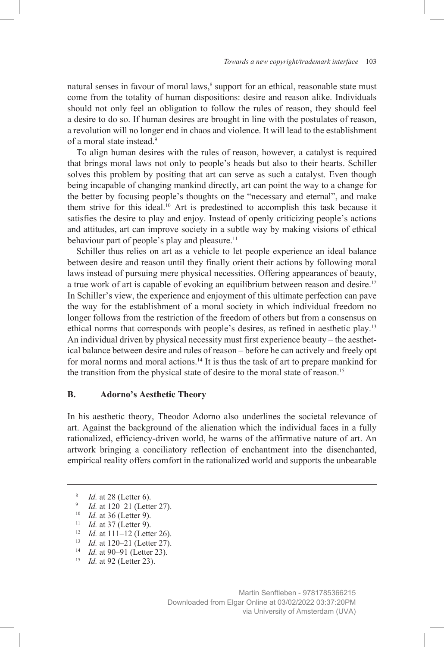natural senses in favour of moral laws,<sup>8</sup> support for an ethical, reasonable state must come from the totality of human dispositions: desire and reason alike. Individuals should not only feel an obligation to follow the rules of reason, they should feel a desire to do so. If human desires are brought in line with the postulates of reason, a revolution will no longer end in chaos and violence. It will lead to the establishment of a moral state instead.9

To align human desires with the rules of reason, however, a catalyst is required that brings moral laws not only to people's heads but also to their hearts. Schiller solves this problem by positing that art can serve as such a catalyst. Even though being incapable of changing mankind directly, art can point the way to a change for the better by focusing people's thoughts on the "necessary and eternal", and make them strive for this ideal.10 Art is predestined to accomplish this task because it satisfies the desire to play and enjoy. Instead of openly criticizing people's actions and attitudes, art can improve society in a subtle way by making visions of ethical behaviour part of people's play and pleasure.<sup>11</sup>

Schiller thus relies on art as a vehicle to let people experience an ideal balance between desire and reason until they finally orient their actions by following moral laws instead of pursuing mere physical necessities. Offering appearances of beauty, a true work of art is capable of evoking an equilibrium between reason and desire.<sup>12</sup> In Schiller's view, the experience and enjoyment of this ultimate perfection can pave the way for the establishment of a moral society in which individual freedom no longer follows from the restriction of the freedom of others but from a consensus on ethical norms that corresponds with people's desires, as refined in aesthetic play.13 An individual driven by physical necessity must first experience beauty – the aesthetical balance between desire and rules of reason – before he can actively and freely opt for moral norms and moral actions.<sup>14</sup> It is thus the task of art to prepare mankind for the transition from the physical state of desire to the moral state of reason.<sup>15</sup>

#### **B. Adorno's Aesthetic Theory**

In his aesthetic theory, Theodor Adorno also underlines the societal relevance of art. Against the background of the alienation which the individual faces in a fully rationalized, efficiency-driven world, he warns of the affirmative nature of art. An artwork bringing a conciliatory reflection of enchantment into the disenchanted, empirical reality offers comfort in the rationalized world and supports the unbearable

- <sup>11</sup> *Id.* at 37 (Letter 9).
- <sup>12</sup> *Id.* at 111–12 (Letter 26).
- <sup>13</sup> *Id.* at 120–21 (Letter 27).
- <sup>14</sup> *Id.* at 90–91 (Letter 23).
- <sup>15</sup> *Id.* at 92 (Letter 23).

<sup>8</sup> *Id.* at 28 (Letter 6). 9 *Id.* at 120–21 (Letter 27).

<sup>10</sup> *Id.* at 36 (Letter 9).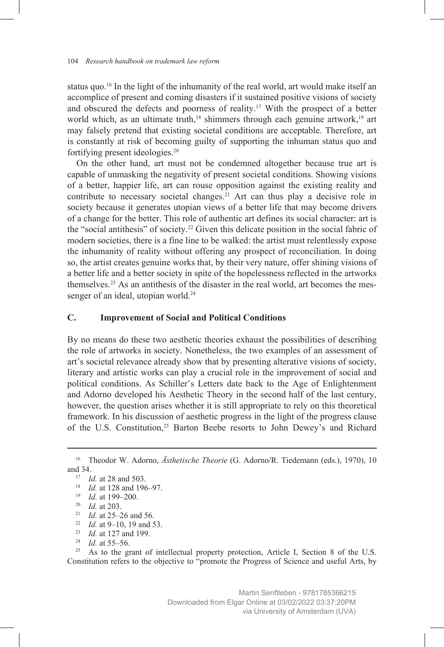status quo.16 In the light of the inhumanity of the real world, art would make itself an accomplice of present and coming disasters if it sustained positive visions of society and obscured the defects and poorness of reality.17 With the prospect of a better world which, as an ultimate truth,<sup>18</sup> shimmers through each genuine artwork,<sup>19</sup> art may falsely pretend that existing societal conditions are acceptable. Therefore, art is constantly at risk of becoming guilty of supporting the inhuman status quo and fortifying present ideologies.20

On the other hand, art must not be condemned altogether because true art is capable of unmasking the negativity of present societal conditions. Showing visions of a better, happier life, art can rouse opposition against the existing reality and contribute to necessary societal changes.<sup>21</sup> Art can thus play a decisive role in society because it generates utopian views of a better life that may become drivers of a change for the better. This role of authentic art defines its social character: art is the "social antithesis" of society.22 Given this delicate position in the social fabric of modern societies, there is a fine line to be walked: the artist must relentlessly expose the inhumanity of reality without offering any prospect of reconciliation. In doing so, the artist creates genuine works that, by their very nature, offer shining visions of a better life and a better society in spite of the hopelessness reflected in the artworks themselves.23 As an antithesis of the disaster in the real world, art becomes the messenger of an ideal, utopian world.<sup>24</sup>

#### **C. Improvement of Social and Political Conditions**

By no means do these two aesthetic theories exhaust the possibilities of describing the role of artworks in society. Nonetheless, the two examples of an assessment of art's societal relevance already show that by presenting alterative visions of society, literary and artistic works can play a crucial role in the improvement of social and political conditions. As Schiller's Letters date back to the Age of Enlightenment and Adorno developed his Aesthetic Theory in the second half of the last century, however, the question arises whether it is still appropriate to rely on this theoretical framework. In his discussion of aesthetic progress in the light of the progress clause of the U.S. Constitution,<sup>25</sup> Barton Beebe resorts to John Dewey's and Richard

- <sup>21</sup> *Id.* at 25–26 and 56.
- <sup>22</sup> *Id.* at 9–10, 19 and 53.
- <sup>23</sup> *Id.* at 127 and 199.
- <sup>24</sup> *Id.* at 55–56.

<sup>25</sup> As to the grant of intellectual property protection, Article I, Section 8 of the U.S. Constitution refers to the objective to "promote the Progress of Science and useful Arts, by

<sup>16</sup> Theodor W. Adorno, *Ästhetische Theorie* (G. Adorno/R. Tiedemann (eds.), 1970), 10 and 34.

<sup>17</sup> *Id.* at 28 and 503.

<sup>18</sup> *Id.* at 128 and 196–97.

<sup>19</sup> *Id.* at 199–200.

<sup>20</sup> *Id.* at 203.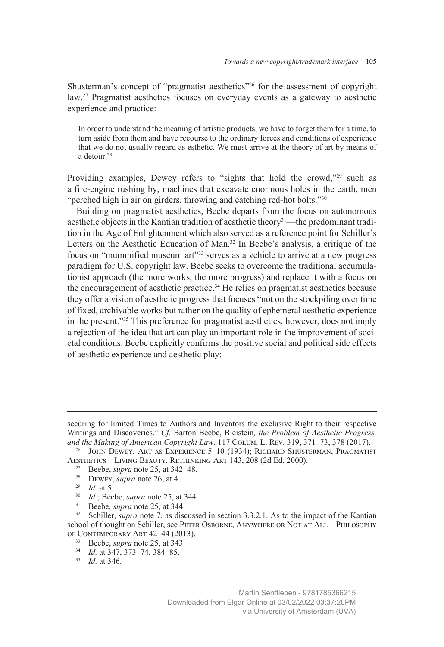Shusterman's concept of "pragmatist aesthetics"26 for the assessment of copyright law.<sup>27</sup> Pragmatist aesthetics focuses on everyday events as a gateway to aesthetic experience and practice:

In order to understand the meaning of artistic products, we have to forget them for a time, to turn aside from them and have recourse to the ordinary forces and conditions of experience that we do not usually regard as esthetic. We must arrive at the theory of art by means of a detour.<sup>28</sup>

Providing examples, Dewey refers to "sights that hold the crowd,"<sup>29</sup> such as a fire-engine rushing by, machines that excavate enormous holes in the earth, men "perched high in air on girders, throwing and catching red-hot bolts."30

Building on pragmatist aesthetics, Beebe departs from the focus on autonomous aesthetic objects in the Kantian tradition of aesthetic theory31—the predominant tradition in the Age of Enlightenment which also served as a reference point for Schiller's Letters on the Aesthetic Education of Man.<sup>32</sup> In Beebe's analysis, a critique of the focus on "mummified museum art"33 serves as a vehicle to arrive at a new progress paradigm for U.S. copyright law. Beebe seeks to overcome the traditional accumulationist approach (the more works, the more progress) and replace it with a focus on the encouragement of aesthetic practice.34 He relies on pragmatist aesthetics because they offer a vision of aesthetic progress that focuses "not on the stockpiling over time of fixed, archivable works but rather on the quality of ephemeral aesthetic experience in the present."35 This preference for pragmatist aesthetics, however, does not imply a rejection of the idea that art can play an important role in the improvement of societal conditions. Beebe explicitly confirms the positive social and political side effects of aesthetic experience and aesthetic play:

- <sup>27</sup> Beebe, *supra* note 25, at 342–48.
- <sup>28</sup> Dewey, *supra* note 26, at 4.
- <sup>29</sup> *Id.* at 5.
- $^{30}$  *Id.*; Beebe, *supra* note 25, at 344.<br> $^{31}$  Beebe, *supra* note 25, at 344
- Beebe, *supra* note 25, at 344.

<sup>33</sup> Beebe, *supra* note 25, at 343.

securing for limited Times to Authors and Inventors the exclusive Right to their respective Writings and Discoveries." *Cf.* Barton Beebe, Bleistein*, the Problem of Aesthetic Progress, and the Making of American Copyright Law*, 117 Colum. L. Rev. 319, 371–73, 378 (2017).

<sup>&</sup>lt;sup>26</sup> JOHN DEWEY, ART AS EXPERIENCE 5-10 (1934); RICHARD SHUSTERMAN, PRAGMATIST Aesthetics – Living Beauty, Rethinking Art 143, 208 (2d Ed. 2000).

<sup>&</sup>lt;sup>32</sup> Schiller, *supra* note 7, as discussed in section 3.3.2.1. As to the impact of the Kantian school of thought on Schiller, see PETER OSBORNE, ANYWHERE OR NOT AT ALL - PHILOSOPHY of Contemporary Art 42–44 (2013).

<sup>34</sup> *Id.* at 347, 373–74, 384–85.

<sup>35</sup> *Id.* at 346.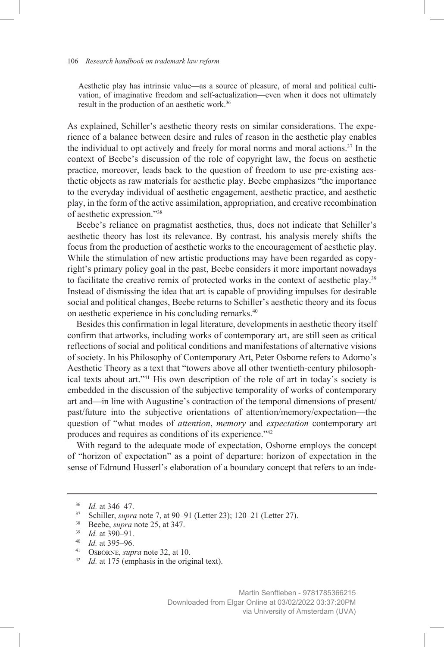Aesthetic play has intrinsic value—as a source of pleasure, of moral and political cultivation, of imaginative freedom and self-actualization—even when it does not ultimately result in the production of an aesthetic work.36

As explained, Schiller's aesthetic theory rests on similar considerations. The experience of a balance between desire and rules of reason in the aesthetic play enables the individual to opt actively and freely for moral norms and moral actions.37 In the context of Beebe's discussion of the role of copyright law, the focus on aesthetic practice, moreover, leads back to the question of freedom to use pre-existing aesthetic objects as raw materials for aesthetic play. Beebe emphasizes "the importance to the everyday individual of aesthetic engagement, aesthetic practice, and aesthetic play, in the form of the active assimilation, appropriation, and creative recombination of aesthetic expression."38

Beebe's reliance on pragmatist aesthetics, thus, does not indicate that Schiller's aesthetic theory has lost its relevance. By contrast, his analysis merely shifts the focus from the production of aesthetic works to the encouragement of aesthetic play. While the stimulation of new artistic productions may have been regarded as copyright's primary policy goal in the past, Beebe considers it more important nowadays to facilitate the creative remix of protected works in the context of aesthetic play.<sup>39</sup> Instead of dismissing the idea that art is capable of providing impulses for desirable social and political changes, Beebe returns to Schiller's aesthetic theory and its focus on aesthetic experience in his concluding remarks.<sup>40</sup>

Besides this confirmation in legal literature, developments in aesthetic theory itself confirm that artworks, including works of contemporary art, are still seen as critical reflections of social and political conditions and manifestations of alternative visions of society. In his Philosophy of Contemporary Art, Peter Osborne refers to Adorno's Aesthetic Theory as a text that "towers above all other twentieth-century philosophical texts about art."41 His own description of the role of art in today's society is embedded in the discussion of the subjective temporality of works of contemporary art and—in line with Augustine's contraction of the temporal dimensions of present/ past/future into the subjective orientations of attention/memory/expectation—the question of "what modes of *attention*, *memory* and *expectation* contemporary art produces and requires as conditions of its experience."42

With regard to the adequate mode of expectation, Osborne employs the concept of "horizon of expectation" as a point of departure: horizon of expectation in the sense of Edmund Husserl's elaboration of a boundary concept that refers to an inde-

<sup>38</sup> Beebe, *supra* note 25, at 347.

<sup>36</sup> *Id.* at 346–47.

<sup>37</sup> Schiller, *supra* note 7, at 90–91 (Letter 23); 120–21 (Letter 27).

<sup>39</sup> *Id.* at 390–91.

<sup>&</sup>lt;sup>40</sup> *Id.* at 395–96.<br><sup>41</sup> OSBORNE, *sun* 

<sup>&</sup>lt;sup>41</sup> OSBORNE, *supra* note 32, at 10.<br><sup>42</sup> *Id.* at 175 (amphasis in the original

*Id.* at 175 (emphasis in the original text).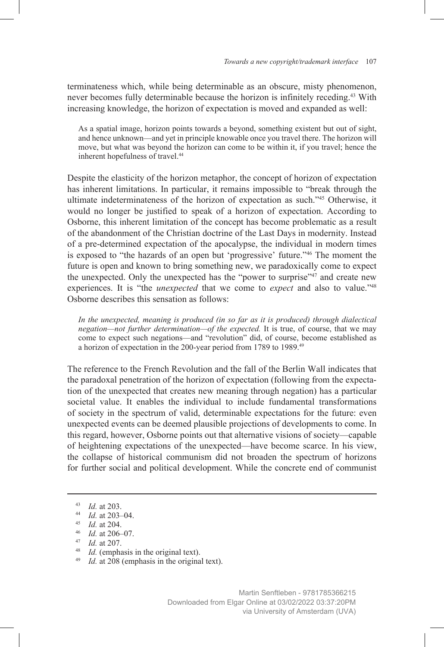terminateness which, while being determinable as an obscure, misty phenomenon, never becomes fully determinable because the horizon is infinitely receding.<sup>43</sup> With increasing knowledge, the horizon of expectation is moved and expanded as well:

As a spatial image, horizon points towards a beyond, something existent but out of sight, and hence unknown—and yet in principle knowable once you travel there. The horizon will move, but what was beyond the horizon can come to be within it, if you travel; hence the inherent hopefulness of travel.44

Despite the elasticity of the horizon metaphor, the concept of horizon of expectation has inherent limitations. In particular, it remains impossible to "break through the ultimate indeterminateness of the horizon of expectation as such."45 Otherwise, it would no longer be justified to speak of a horizon of expectation. According to Osborne, this inherent limitation of the concept has become problematic as a result of the abandonment of the Christian doctrine of the Last Days in modernity. Instead of a pre-determined expectation of the apocalypse, the individual in modern times is exposed to "the hazards of an open but 'progressive' future."46 The moment the future is open and known to bring something new, we paradoxically come to expect the unexpected. Only the unexpected has the "power to surprise"<sup>47</sup> and create new experiences. It is "the *unexpected* that we come to *expect* and also to value."48 Osborne describes this sensation as follows:

*In the unexpected, meaning is produced (in so far as it is produced) through dialectical negation—not further determination—of the expected.* It is true, of course, that we may come to expect such negations—and "revolution" did, of course, become established as a horizon of expectation in the 200-year period from 1789 to 1989.49

The reference to the French Revolution and the fall of the Berlin Wall indicates that the paradoxal penetration of the horizon of expectation (following from the expectation of the unexpected that creates new meaning through negation) has a particular societal value. It enables the individual to include fundamental transformations of society in the spectrum of valid, determinable expectations for the future: even unexpected events can be deemed plausible projections of developments to come. In this regard, however, Osborne points out that alternative visions of society—capable of heightening expectations of the unexpected—have become scarce. In his view, the collapse of historical communism did not broaden the spectrum of horizons for further social and political development. While the concrete end of communist

<sup>43</sup> *Id.* at 203.

<sup>44</sup> *Id.* at 203–04.

<sup>45</sup> *Id.* at 204.

<sup>46</sup> *Id.* at 206–07.

<sup>47</sup> *Id.* at 207.

<sup>48</sup> *Id.* (emphasis in the original text).

<sup>49</sup> *Id.* at 208 (emphasis in the original text).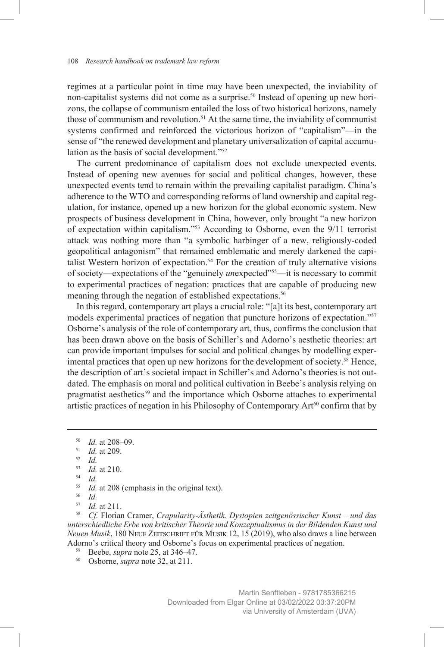regimes at a particular point in time may have been unexpected, the inviability of non-capitalist systems did not come as a surprise.50 Instead of opening up new horizons, the collapse of communism entailed the loss of two historical horizons, namely those of communism and revolution.<sup>51</sup> At the same time, the inviability of communist systems confirmed and reinforced the victorious horizon of "capitalism"—in the sense of "the renewed development and planetary universalization of capital accumulation as the basis of social development."52

The current predominance of capitalism does not exclude unexpected events. Instead of opening new avenues for social and political changes, however, these unexpected events tend to remain within the prevailing capitalist paradigm. China's adherence to the WTO and corresponding reforms of land ownership and capital regulation, for instance, opened up a new horizon for the global economic system. New prospects of business development in China, however, only brought "a new horizon of expectation within capitalism."53 According to Osborne, even the 9/11 terrorist attack was nothing more than "a symbolic harbinger of a new, religiously-coded geopolitical antagonism" that remained emblematic and merely darkened the capitalist Western horizon of expectation.<sup>54</sup> For the creation of truly alternative visions of society—expectations of the "genuinely *un*expected"55—it is necessary to commit to experimental practices of negation: practices that are capable of producing new meaning through the negation of established expectations.<sup>56</sup>

In this regard, contemporary art plays a crucial role: "[a]t its best, contemporary art models experimental practices of negation that puncture horizons of expectation."57 Osborne's analysis of the role of contemporary art, thus, confirms the conclusion that has been drawn above on the basis of Schiller's and Adorno's aesthetic theories: art can provide important impulses for social and political changes by modelling experimental practices that open up new horizons for the development of society.<sup>58</sup> Hence, the description of art's societal impact in Schiller's and Adorno's theories is not outdated. The emphasis on moral and political cultivation in Beebe's analysis relying on pragmatist aesthetics<sup>59</sup> and the importance which Osborne attaches to experimental artistic practices of negation in his Philosophy of Contemporary  $Art^{60}$  confirm that by

<sup>58</sup> *Cf.* Florian Cramer, *Crapularity-Ästhetik. Dystopien zeitgenössischer Kunst – und das unterschiedliche Erbe von kritischer Theorie und Konzeptualismus in der Bildenden Kunst und Neuen Musik*, 180 Neue Zeitschrift für Musik 12, 15 (2019), who also draws a line between Adorno's critical theory and Osborne's focus on experimental practices of negation.

<sup>59</sup> Beebe, *supra* note 25, at 346–47.

<sup>50</sup> *Id.* at 208–09.

<sup>51</sup> *Id.* at 209.

 $\frac{52}{53}$  *Id.* 

 $\frac{53}{54}$  *Id.* at 210.

<sup>54</sup> *Id.*

<sup>&</sup>lt;sup>55</sup> *Id.* at 208 (emphasis in the original text).

 $\frac{56}{57}$  *Id.* 

<sup>&</sup>lt;sup>57</sup> *Id.* at 211.

<sup>60</sup> Osborne, *supra* note 32, at 211.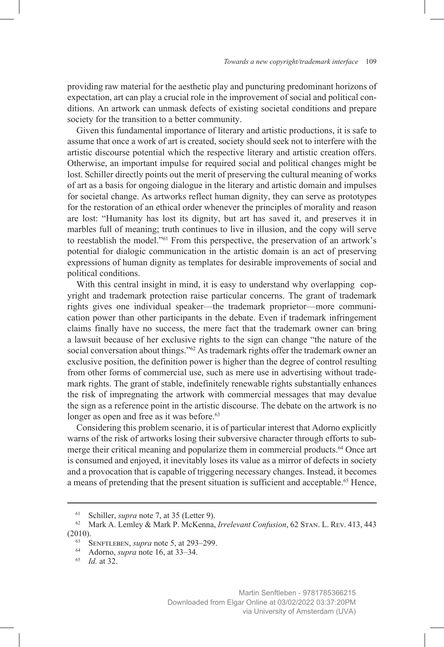providing raw material for the aesthetic play and puncturing predominant horizons of expectation, art can play a crucial role in the improvement of social and political conditions. An artwork can unmask defects of existing societal conditions and prepare society for the transition to a better community.

Given this fundamental importance of literary and artistic productions, it is safe to assume that once a work of art is created, society should seek not to interfere with the artistic discourse potential which the respective literary and artistic creation offers. Otherwise, an important impulse for required social and political changes might be lost. Schiller directly points out the merit of preserving the cultural meaning of works of art as a basis for ongoing dialogue in the literary and artistic domain and impulses for societal change. As artworks reflect human dignity, they can serve as prototypes for the restoration of an ethical order whenever the principles of morality and reason are lost: "Humanity has lost its dignity, but art has saved it, and preserves it in marbles full of meaning; truth continues to live in illusion, and the copy will serve to reestablish the model."61 From this perspective, the preservation of an artwork's potential for dialogic communication in the artistic domain is an act of preserving expressions of human dignity as templates for desirable improvements of social and political conditions.

With this central insight in mind, it is easy to understand why overlapping copyright and trademark protection raise particular concerns. The grant of trademark rights gives one individual speaker—the trademark proprietor—more communication power than other participants in the debate. Even if trademark infringement claims finally have no success, the mere fact that the trademark owner can bring a lawsuit because of her exclusive rights to the sign can change "the nature of the social conversation about things."<sup>62</sup> As trademark rights offer the trademark owner an exclusive position, the definition power is higher than the degree of control resulting from other forms of commercial use, such as mere use in advertising without trademark rights. The grant of stable, indefinitely renewable rights substantially enhances the risk of impregnating the artwork with commercial messages that may devalue the sign as a reference point in the artistic discourse. The debate on the artwork is no longer as open and free as it was before.<sup>63</sup>

Considering this problem scenario, it is of particular interest that Adorno explicitly warns of the risk of artworks losing their subversive character through efforts to submerge their critical meaning and popularize them in commercial products.64 Once art is consumed and enjoyed, it inevitably loses its value as a mirror of defects in society and a provocation that is capable of triggering necessary changes. Instead, it becomes a means of pretending that the present situation is sufficient and acceptable.<sup>65</sup> Hence,

<sup>61</sup> Schiller, *supra* note 7, at 35 (Letter 9).

<sup>62</sup> Mark A. Lemley & Mark P. McKenna, *Irrelevant Confusion*, 62 Stan. L. Rev. 413, 443 (2010).

<sup>63</sup> Senftleben, *supra* note 5, at 293–299.

<sup>64</sup> Adorno, *supra* note 16, at 33–34.

<sup>65</sup> *Id.* at 32.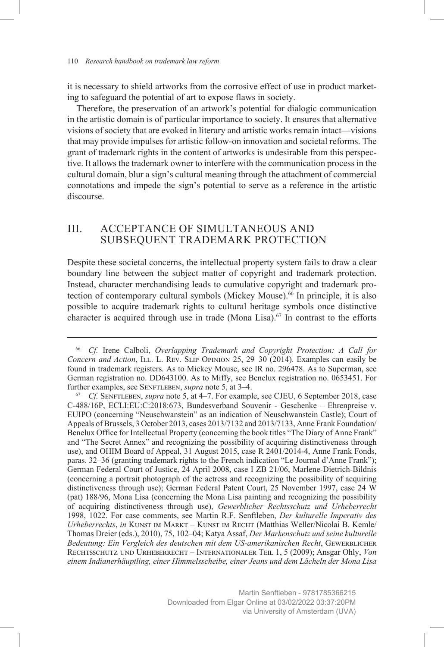it is necessary to shield artworks from the corrosive effect of use in product marketing to safeguard the potential of art to expose flaws in society.

Therefore, the preservation of an artwork's potential for dialogic communication in the artistic domain is of particular importance to society. It ensures that alternative visions of society that are evoked in literary and artistic works remain intact—visions that may provide impulses for artistic follow-on innovation and societal reforms. The grant of trademark rights in the content of artworks is undesirable from this perspective. It allows the trademark owner to interfere with the communication process in the cultural domain, blur a sign's cultural meaning through the attachment of commercial connotations and impede the sign's potential to serve as a reference in the artistic discourse.

## III. ACCEPTANCE OF SIMULTANEOUS AND SUBSEQUENT TRADEMARK PROTECTION

Despite these societal concerns, the intellectual property system fails to draw a clear boundary line between the subject matter of copyright and trademark protection. Instead, character merchandising leads to cumulative copyright and trademark protection of contemporary cultural symbols (Mickey Mouse).<sup>66</sup> In principle, it is also possible to acquire trademark rights to cultural heritage symbols once distinctive character is acquired through use in trade (Mona Lisa).<sup>67</sup> In contrast to the efforts

<sup>66</sup> *Cf.* Irene Calboli, *Overlapping Trademark and Copyright Protection: A Call for Concern and Action*, ILL. L. Rev. SLIP OPINION 25, 29–30 (2014). Examples can easily be found in trademark registers. As to Mickey Mouse, see IR no. 296478. As to Superman, see German registration no. DD643100. As to Miffy, see Benelux registration no. 0653451. For further examples, see SENFTLEBEN, *supra* note 5, at 3-4.

<sup>67</sup> *Cf.* Senftleben, *supra* note 5, at 4–7. For example, see CJEU, 6 September 2018, case C-488/16P, ECLI:EU:C:2018:673, Bundesverband Souvenir - Geschenke – Ehrenpreise v. EUIPO (concerning "Neuschwanstein" as an indication of Neuschwanstein Castle); Court of Appeals of Brussels, 3 October 2013, cases 2013/7132 and 2013/7133, Anne Frank Foundation/ Benelux Office for Intellectual Property (concerning the book titles "The Diary of Anne Frank" and "The Secret Annex" and recognizing the possibility of acquiring distinctiveness through use), and OHIM Board of Appeal, 31 August 2015, case R 2401/2014-4, Anne Frank Fonds, paras. 32–36 (granting trademark rights to the French indication "Le Journal d'Anne Frank"); German Federal Court of Justice, 24 April 2008, case I ZB 21/06, Marlene-Dietrich-Bildnis (concerning a portrait photograph of the actress and recognizing the possibility of acquiring distinctiveness through use); German Federal Patent Court, 25 November 1997, case 24 W (pat) 188/96, Mona Lisa (concerning the Mona Lisa painting and recognizing the possibility of acquiring distinctiveness through use), *Gewerblicher Rechtsschutz und Urheberrecht*  1998, 1022. For case comments, see Martin R.F. Senftleben, *Der kulturelle Imperativ des Urheberrechts*, *in* Kunst im Markt – Kunst im Recht (Matthias Weller/Nicolai B. Kemle/ Thomas Dreier (eds.), 2010), 75, 102–04; Katya Assaf, *Der Markenschutz und seine kulturelle*  Bedeutung: Ein Vergleich des deutschen mit dem US-amerikanischen Recht, GEWERBLICHER Rechtsschutz und Urheberrecht – Internationaler Teil 1, 5 (2009); Ansgar Ohly, *Von einem Indianerhäuptling, einer Himmelsscheibe, einer Jeans und dem Lächeln der Mona Lisa*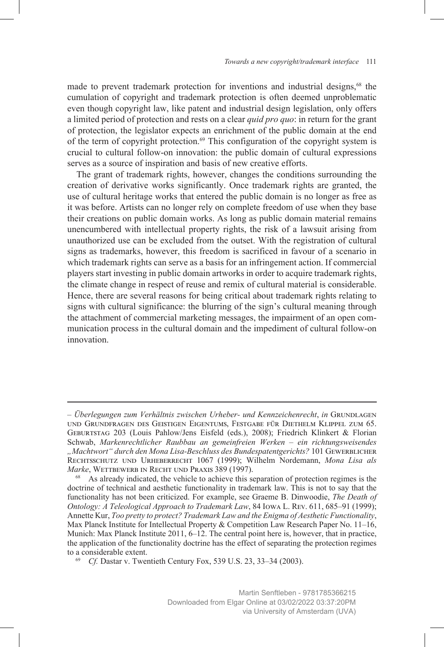made to prevent trademark protection for inventions and industrial designs,<sup>68</sup> the cumulation of copyright and trademark protection is often deemed unproblematic even though copyright law, like patent and industrial design legislation, only offers a limited period of protection and rests on a clear *quid pro quo*: in return for the grant of protection, the legislator expects an enrichment of the public domain at the end of the term of copyright protection.<sup>69</sup> This configuration of the copyright system is crucial to cultural follow-on innovation: the public domain of cultural expressions serves as a source of inspiration and basis of new creative efforts.

The grant of trademark rights, however, changes the conditions surrounding the creation of derivative works significantly. Once trademark rights are granted, the use of cultural heritage works that entered the public domain is no longer as free as it was before. Artists can no longer rely on complete freedom of use when they base their creations on public domain works. As long as public domain material remains unencumbered with intellectual property rights, the risk of a lawsuit arising from unauthorized use can be excluded from the outset. With the registration of cultural signs as trademarks, however, this freedom is sacrificed in favour of a scenario in which trademark rights can serve as a basis for an infringement action. If commercial players start investing in public domain artworks in order to acquire trademark rights, the climate change in respect of reuse and remix of cultural material is considerable. Hence, there are several reasons for being critical about trademark rights relating to signs with cultural significance: the blurring of the sign's cultural meaning through the attachment of commercial marketing messages, the impairment of an open communication process in the cultural domain and the impediment of cultural follow-on innovation.

*<sup>–</sup> Überlegungen zum Verhältnis zwischen Urheber- und Kennzeichenrecht*, *in* Grundlagen und Grundfragen des Geistigen Eigentums, Festgabe für Diethelm Klippel zum 65. Geburtstag 203 (Louis Pahlow/Jens Eisfeld (eds.), 2008); Friedrich Klinkert & Florian Schwab, *Markenrechtlicher Raubbau an gemeinfreien Werken – ein richtungsweisendes "Machtwort" durch den Mona Lisa-Beschluss des Bundespatentgerichts?* 101 Gewerblicher Rechtsschutz und Urheberrecht 1067 (1999); Wilhelm Nordemann, *Mona Lisa als Marke*, WETTBEWERB IN RECHT UND PRAXIS 389 (1997).

As already indicated, the vehicle to achieve this separation of protection regimes is the doctrine of technical and aesthetic functionality in trademark law. This is not to say that the functionality has not been criticized. For example, see Graeme B. Dinwoodie, *The Death of Ontology: A Teleological Approach to Trademark Law*, 84 Iowa L. Rev. 611, 685–91 (1999); Annette Kur, *Too pretty to protect? Trademark Law and the Enigma of Aesthetic Functionality*, Max Planck Institute for Intellectual Property & Competition Law Research Paper No. 11–16, Munich: Max Planck Institute 2011, 6–12. The central point here is, however, that in practice, the application of the functionality doctrine has the effect of separating the protection regimes to a considerable extent.

<sup>69</sup> *Cf.* Dastar v. Twentieth Century Fox, 539 U.S. 23, 33–34 (2003).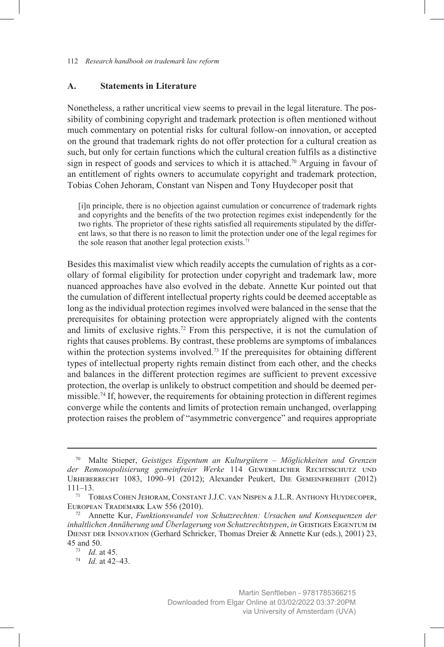#### **A. Statements in Literature**

Nonetheless, a rather uncritical view seems to prevail in the legal literature. The possibility of combining copyright and trademark protection is often mentioned without much commentary on potential risks for cultural follow-on innovation, or accepted on the ground that trademark rights do not offer protection for a cultural creation as such, but only for certain functions which the cultural creation fulfils as a distinctive sign in respect of goods and services to which it is attached.<sup>70</sup> Arguing in favour of an entitlement of rights owners to accumulate copyright and trademark protection, Tobias Cohen Jehoram, Constant van Nispen and Tony Huydecoper posit that

[i]n principle, there is no objection against cumulation or concurrence of trademark rights and copyrights and the benefits of the two protection regimes exist independently for the two rights. The proprietor of these rights satisfied all requirements stipulated by the different laws, so that there is no reason to limit the protection under one of the legal regimes for the sole reason that another legal protection exists.<sup>71</sup>

Besides this maximalist view which readily accepts the cumulation of rights as a corollary of formal eligibility for protection under copyright and trademark law, more nuanced approaches have also evolved in the debate. Annette Kur pointed out that the cumulation of different intellectual property rights could be deemed acceptable as long as the individual protection regimes involved were balanced in the sense that the prerequisites for obtaining protection were appropriately aligned with the contents and limits of exclusive rights.72 From this perspective, it is not the cumulation of rights that causes problems. By contrast, these problems are symptoms of imbalances within the protection systems involved.<sup>73</sup> If the prerequisites for obtaining different types of intellectual property rights remain distinct from each other, and the checks and balances in the different protection regimes are sufficient to prevent excessive protection, the overlap is unlikely to obstruct competition and should be deemed permissible.74 If, however, the requirements for obtaining protection in different regimes converge while the contents and limits of protection remain unchanged, overlapping protection raises the problem of "asymmetric convergence" and requires appropriate

<sup>70</sup> Malte Stieper, *Geistiges Eigentum an Kulturgütern – Möglichkeiten und Grenzen der Remonopolisierung gemeinfreier Werke* 114 Gewerblicher Rechtsschutz und Urheberrecht 1083, 1090–91 (2012); Alexander Peukert, Die Gemeinfreiheit (2012) 111–13.

<sup>71</sup> Tobias Cohen Jehoram, Constant J.J.C. van Nispen & J.L.R. Anthony Huydecoper, European Trademark Law 556 (2010).

<sup>72</sup> Annette Kur, *Funktionswandel von Schutzrechten: Ursachen und Konsequenzen der inhaltlichen Annäherung und Überlagerung von Schutzrechtstypen*, *in* Geistiges Eigentum im DIENST DER INNOVATION (Gerhard Schricker, Thomas Dreier & Annette Kur (eds.), 2001) 23, 45 and 50.

<sup>73</sup> *Id.* at 45.

<sup>74</sup> *Id.* at 42–43.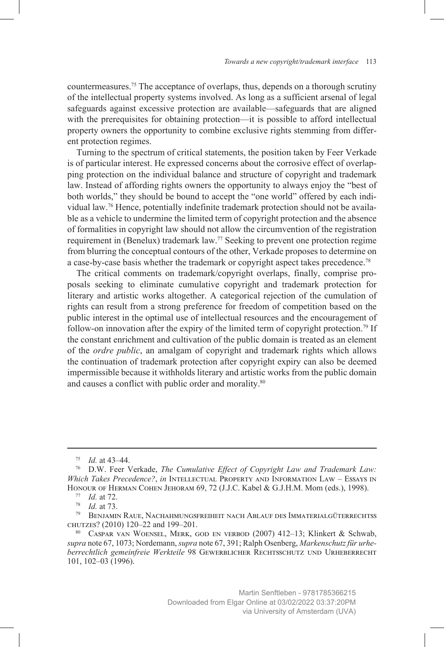countermeasures.75 The acceptance of overlaps, thus, depends on a thorough scrutiny of the intellectual property systems involved. As long as a sufficient arsenal of legal safeguards against excessive protection are available—safeguards that are aligned with the prerequisites for obtaining protection—it is possible to afford intellectual property owners the opportunity to combine exclusive rights stemming from different protection regimes.

Turning to the spectrum of critical statements, the position taken by Feer Verkade is of particular interest. He expressed concerns about the corrosive effect of overlapping protection on the individual balance and structure of copyright and trademark law. Instead of affording rights owners the opportunity to always enjoy the "best of both worlds," they should be bound to accept the "one world" offered by each individual law.76 Hence, potentially indefinite trademark protection should not be available as a vehicle to undermine the limited term of copyright protection and the absence of formalities in copyright law should not allow the circumvention of the registration requirement in (Benelux) trademark law.77 Seeking to prevent one protection regime from blurring the conceptual contours of the other, Verkade proposes to determine on a case-by-case basis whether the trademark or copyright aspect takes precedence.78

The critical comments on trademark/copyright overlaps, finally, comprise proposals seeking to eliminate cumulative copyright and trademark protection for literary and artistic works altogether. A categorical rejection of the cumulation of rights can result from a strong preference for freedom of competition based on the public interest in the optimal use of intellectual resources and the encouragement of follow-on innovation after the expiry of the limited term of copyright protection.<sup>79</sup> If the constant enrichment and cultivation of the public domain is treated as an element of the *ordre public*, an amalgam of copyright and trademark rights which allows the continuation of trademark protection after copyright expiry can also be deemed impermissible because it withholds literary and artistic works from the public domain and causes a conflict with public order and morality.<sup>80</sup>

<sup>75</sup> *Id.* at 43–44.

<sup>76</sup> D.W. Feer Verkade, *The Cumulative Effect of Copyright Law and Trademark Law: Which Takes Precedence?*, *in* Intellectual Property and Information Law – Essays in Honour of Herman Cohen Jehoram 69, 72 (J.J.C. Kabel & G.J.H.M. Mom (eds.), 1998).

<sup>77</sup> *Id.* at 72.

<sup>78</sup> *Id.* at 73.

 $^{79}$ Benjamin Raue, Nachahmungsfreiheit nach Ablauf des Immaterialgüterrechtss chutzes? (2010) 120–22 and 199–201.

<sup>80</sup> Caspar van Woensel, Merk, god en verbod (2007) 412–13; Klinkert & Schwab, *supra* note 67, 1073; Nordemann, *supra* note 67, 391; Ralph Osenberg, *Markenschutz für urhe*berrechtlich gemeinfreie Werkteile 98 GEWERBLICHER RECHTSSCHUTZ UND URHEBERRECHT 101, 102–03 (1996).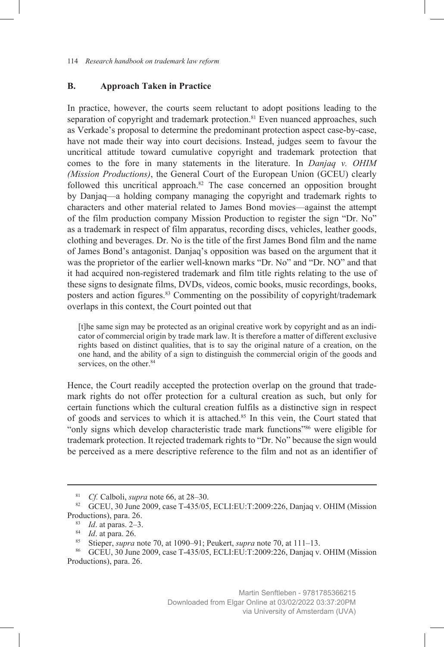#### **B. Approach Taken in Practice**

In practice, however, the courts seem reluctant to adopt positions leading to the separation of copyright and trademark protection.<sup>81</sup> Even nuanced approaches, such as Verkade's proposal to determine the predominant protection aspect case-by-case, have not made their way into court decisions. Instead, judges seem to favour the uncritical attitude toward cumulative copyright and trademark protection that comes to the fore in many statements in the literature. In *Danjaq v. OHIM (Mission Productions)*, the General Court of the European Union (GCEU) clearly followed this uncritical approach.82 The case concerned an opposition brought by Danjaq—a holding company managing the copyright and trademark rights to characters and other material related to James Bond movies—against the attempt of the film production company Mission Production to register the sign "Dr. No" as a trademark in respect of film apparatus, recording discs, vehicles, leather goods, clothing and beverages. Dr. No is the title of the first James Bond film and the name of James Bond's antagonist. Danjaq's opposition was based on the argument that it was the proprietor of the earlier well-known marks "Dr. No" and "Dr. NO" and that it had acquired non-registered trademark and film title rights relating to the use of these signs to designate films, DVDs, videos, comic books, music recordings, books, posters and action figures.<sup>83</sup> Commenting on the possibility of copyright/trademark overlaps in this context, the Court pointed out that

[t]he same sign may be protected as an original creative work by copyright and as an indicator of commercial origin by trade mark law. It is therefore a matter of different exclusive rights based on distinct qualities, that is to say the original nature of a creation, on the one hand, and the ability of a sign to distinguish the commercial origin of the goods and services, on the other.<sup>84</sup>

Hence, the Court readily accepted the protection overlap on the ground that trademark rights do not offer protection for a cultural creation as such, but only for certain functions which the cultural creation fulfils as a distinctive sign in respect of goods and services to which it is attached.<sup>85</sup> In this vein, the Court stated that "only signs which develop characteristic trade mark functions"86 were eligible for trademark protection. It rejected trademark rights to "Dr. No" because the sign would be perceived as a mere descriptive reference to the film and not as an identifier of

<sup>81</sup> *Cf.* Calboli, *supra* note 66, at 28–30.

<sup>&</sup>lt;sup>82</sup> GCEU, 30 June 2009, case T-435/05, ECLI:EU:T:2009:226, Danjaq v. OHIM (Mission Productions), para. 26.

<sup>83</sup> *Id*. at paras. 2–3.

<sup>&</sup>lt;sup>84</sup> *Id.* at para. 26.

<sup>85</sup> Stieper, *supra* note 70, at 1090–91; Peukert, *supra* note 70, at 111–13.

<sup>86</sup> GCEU, 30 June 2009, case T-435/05, ECLI:EU:T:2009:226, Danjaq v. OHIM (Mission Productions), para. 26.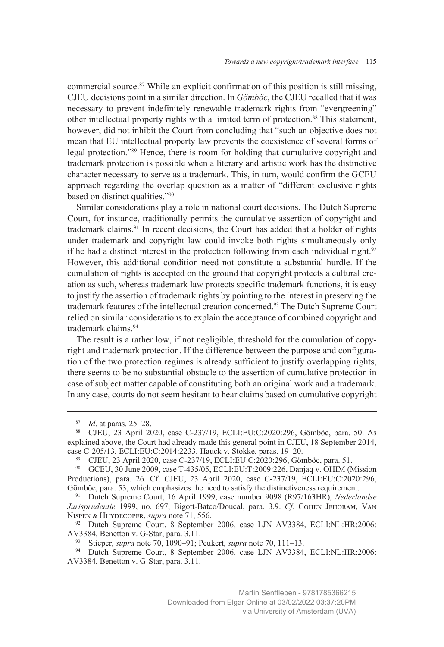commercial source.<sup>87</sup> While an explicit confirmation of this position is still missing, CJEU decisions point in a similar direction. In *Gömböc*, the CJEU recalled that it was necessary to prevent indefinitely renewable trademark rights from "evergreening" other intellectual property rights with a limited term of protection.<sup>88</sup> This statement, however, did not inhibit the Court from concluding that "such an objective does not mean that EU intellectual property law prevents the coexistence of several forms of legal protection."89 Hence, there is room for holding that cumulative copyright and trademark protection is possible when a literary and artistic work has the distinctive character necessary to serve as a trademark. This, in turn, would confirm the GCEU approach regarding the overlap question as a matter of "different exclusive rights based on distinct qualities."90

Similar considerations play a role in national court decisions. The Dutch Supreme Court, for instance, traditionally permits the cumulative assertion of copyright and trademark claims.91 In recent decisions, the Court has added that a holder of rights under trademark and copyright law could invoke both rights simultaneously only if he had a distinct interest in the protection following from each individual right.<sup>92</sup> However, this additional condition need not constitute a substantial hurdle. If the cumulation of rights is accepted on the ground that copyright protects a cultural creation as such, whereas trademark law protects specific trademark functions, it is easy to justify the assertion of trademark rights by pointing to the interest in preserving the trademark features of the intellectual creation concerned.93 The Dutch Supreme Court relied on similar considerations to explain the acceptance of combined copyright and trademark claims.94

The result is a rather low, if not negligible, threshold for the cumulation of copyright and trademark protection. If the difference between the purpose and configuration of the two protection regimes is already sufficient to justify overlapping rights, there seems to be no substantial obstacle to the assertion of cumulative protection in case of subject matter capable of constituting both an original work and a trademark. In any case, courts do not seem hesitant to hear claims based on cumulative copyright

<sup>90</sup> GCEU, 30 June 2009, case T-435/05, ECLI:EU:T:2009:226, Danjaq v. OHIM (Mission Productions), para. 26. Cf. CJEU, 23 April 2020, case C-237/19, ECLI:EU:C:2020:296, Gömböc, para. 53, which emphasizes the need to satisfy the distinctiveness requirement.

<sup>91</sup> Dutch Supreme Court, 16 April 1999, case number 9098 (R97/163HR), *Nederlandse Jurisprudentie* 1999, no. 697, Bigott-Batco/Doucal, para. 3.9. *Cf.* Cohen Jehoram, Van Nispen & Huydecoper, *supra* note 71, 556.

<sup>92</sup> Dutch Supreme Court, 8 September 2006, case LJN AV3384, ECLI:NL:HR:2006: AV3384, Benetton v. G-Star, para. 3.11.

<sup>93</sup> Stieper, *supra* note 70, 1090–91; Peukert, *supra* note 70, 111–13.

*Id.* at paras. 25–28.

<sup>88</sup> CJEU, 23 April 2020, case C-237/19, ECLI:EU:C:2020:296, Gömböc, para. 50. As explained above, the Court had already made this general point in CJEU, 18 September 2014, case C-205/13, ECLI:EU:C:2014:2233, Hauck v. Stokke, paras. 19–20.

<sup>89</sup> CJEU, 23 April 2020, case C-237/19, ECLI:EU:C:2020:296, Gömböc, para. 51.

Dutch Supreme Court, 8 September 2006, case LJN AV3384, ECLI:NL:HR:2006: AV3384, Benetton v. G-Star, para. 3.11.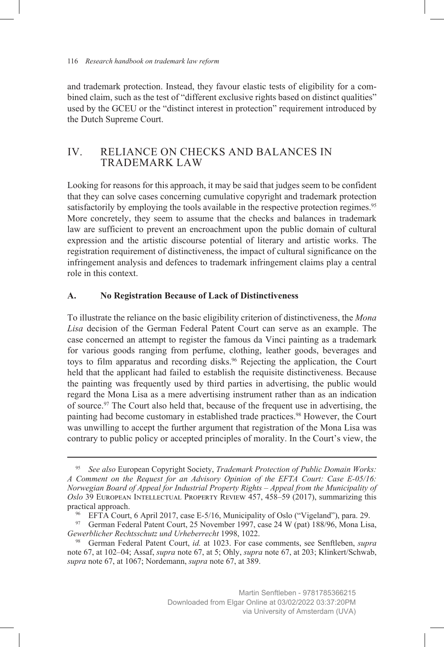and trademark protection. Instead, they favour elastic tests of eligibility for a combined claim, such as the test of "different exclusive rights based on distinct qualities" used by the GCEU or the "distinct interest in protection" requirement introduced by the Dutch Supreme Court.

# IV. RELIANCE ON CHECKS AND BALANCES IN TRADEMARK LAW

Looking for reasons for this approach, it may be said that judges seem to be confident that they can solve cases concerning cumulative copyright and trademark protection satisfactorily by employing the tools available in the respective protection regimes.<sup>95</sup> More concretely, they seem to assume that the checks and balances in trademark law are sufficient to prevent an encroachment upon the public domain of cultural expression and the artistic discourse potential of literary and artistic works. The registration requirement of distinctiveness, the impact of cultural significance on the infringement analysis and defences to trademark infringement claims play a central role in this context.

#### **A. No Registration Because of Lack of Distinctiveness**

To illustrate the reliance on the basic eligibility criterion of distinctiveness, the *Mona Lisa* decision of the German Federal Patent Court can serve as an example. The case concerned an attempt to register the famous da Vinci painting as a trademark for various goods ranging from perfume, clothing, leather goods, beverages and toys to film apparatus and recording disks.<sup>96</sup> Rejecting the application, the Court held that the applicant had failed to establish the requisite distinctiveness. Because the painting was frequently used by third parties in advertising, the public would regard the Mona Lisa as a mere advertising instrument rather than as an indication of source.97 The Court also held that, because of the frequent use in advertising, the painting had become customary in established trade practices.<sup>98</sup> However, the Court was unwilling to accept the further argument that registration of the Mona Lisa was contrary to public policy or accepted principles of morality. In the Court's view, the

<sup>95</sup> *See also* European Copyright Society, *Trademark Protection of Public Domain Works: A Comment on the Request for an Advisory Opinion of the EFTA Court: Case E-05/16: Norwegian Board of Appeal for Industrial Property Rights – Appeal from the Municipality of Oslo* 39 European Intellectual Property Review 457, 458–59 (2017), summarizing this practical approach.

<sup>96</sup> EFTA Court, 6 April 2017, case E-5/16, Municipality of Oslo ("Vigeland"), para. 29.

<sup>97</sup> German Federal Patent Court, 25 November 1997, case 24 W (pat) 188/96, Mona Lisa, *Gewerblicher Rechtsschutz und Urheberrecht* 1998, 1022.

<sup>98</sup> German Federal Patent Court, *id.* at 1023. For case comments, see Senftleben, *supra* note 67, at 102–04; Assaf, *supra* note 67, at 5; Ohly, *supra* note 67, at 203; Klinkert/Schwab, *supra* note 67, at 1067; Nordemann, *supra* note 67, at 389.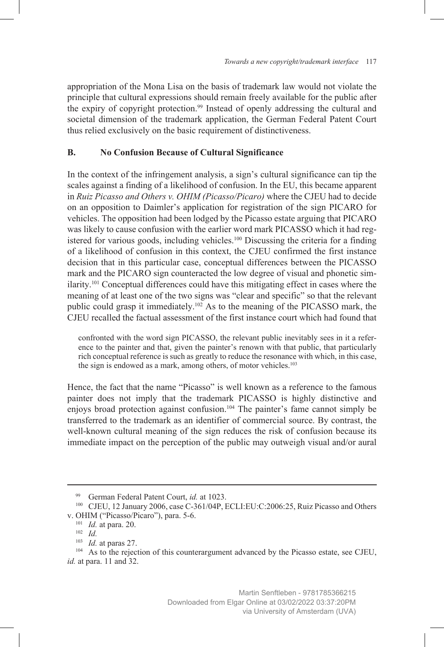appropriation of the Mona Lisa on the basis of trademark law would not violate the principle that cultural expressions should remain freely available for the public after the expiry of copyright protection.99 Instead of openly addressing the cultural and societal dimension of the trademark application, the German Federal Patent Court thus relied exclusively on the basic requirement of distinctiveness.

### **B. No Confusion Because of Cultural Significance**

In the context of the infringement analysis, a sign's cultural significance can tip the scales against a finding of a likelihood of confusion. In the EU, this became apparent in *Ruiz Picasso and Others v. OHIM (Picasso/Picaro)* where the CJEU had to decide on an opposition to Daimler's application for registration of the sign PICARO for vehicles. The opposition had been lodged by the Picasso estate arguing that PICARO was likely to cause confusion with the earlier word mark PICASSO which it had registered for various goods, including vehicles.<sup>100</sup> Discussing the criteria for a finding of a likelihood of confusion in this context, the CJEU confirmed the first instance decision that in this particular case, conceptual differences between the PICASSO mark and the PICARO sign counteracted the low degree of visual and phonetic similarity.101 Conceptual differences could have this mitigating effect in cases where the meaning of at least one of the two signs was "clear and specific" so that the relevant public could grasp it immediately.102 As to the meaning of the PICASSO mark, the CJEU recalled the factual assessment of the first instance court which had found that

confronted with the word sign PICASSO, the relevant public inevitably sees in it a reference to the painter and that, given the painter's renown with that public, that particularly rich conceptual reference is such as greatly to reduce the resonance with which, in this case, the sign is endowed as a mark, among others, of motor vehicles.<sup>103</sup>

Hence, the fact that the name "Picasso" is well known as a reference to the famous painter does not imply that the trademark PICASSO is highly distinctive and enjoys broad protection against confusion.104 The painter's fame cannot simply be transferred to the trademark as an identifier of commercial source. By contrast, the well-known cultural meaning of the sign reduces the risk of confusion because its immediate impact on the perception of the public may outweigh visual and/or aural

<sup>&</sup>lt;sup>99</sup> German Federal Patent Court, *id.* at 1023.<br><sup>100</sup> CJEU, 12 January 2006, case C-361/04P, ECLI:EU:C:2006:25, Ruiz Picasso and Others v. OHIM ("Picasso/Picaro"), para. 5-6.

<sup>101</sup> *Id.* at para. 20.

<sup>102</sup> *Id.*

<sup>103</sup> *Id.* at paras 27.

<sup>&</sup>lt;sup>104</sup> As to the rejection of this counterargument advanced by the Picasso estate, see CJEU, *id.* at para. 11 and 32.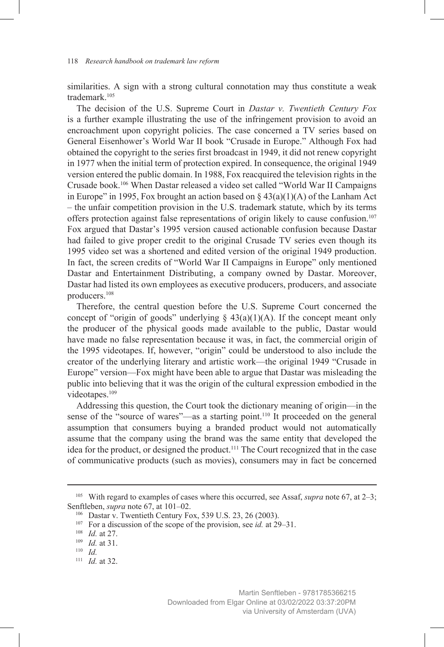similarities. A sign with a strong cultural connotation may thus constitute a weak trademark.105

The decision of the U.S. Supreme Court in *Dastar v. Twentieth Century Fox* is a further example illustrating the use of the infringement provision to avoid an encroachment upon copyright policies. The case concerned a TV series based on General Eisenhower's World War II book "Crusade in Europe." Although Fox had obtained the copyright to the series first broadcast in 1949, it did not renew copyright in 1977 when the initial term of protection expired. In consequence, the original 1949 version entered the public domain. In 1988, Fox reacquired the television rights in the Crusade book.106 When Dastar released a video set called "World War II Campaigns in Europe" in 1995, Fox brought an action based on  $\S$  43(a)(1)(A) of the Lanham Act – the unfair competition provision in the U.S. trademark statute, which by its terms offers protection against false representations of origin likely to cause confusion.<sup>107</sup> Fox argued that Dastar's 1995 version caused actionable confusion because Dastar had failed to give proper credit to the original Crusade TV series even though its 1995 video set was a shortened and edited version of the original 1949 production. In fact, the screen credits of "World War II Campaigns in Europe" only mentioned Dastar and Entertainment Distributing, a company owned by Dastar. Moreover, Dastar had listed its own employees as executive producers, producers, and associate producers.108

Therefore, the central question before the U.S. Supreme Court concerned the concept of "origin of goods" underlying  $\S$  43(a)(1)(A). If the concept meant only the producer of the physical goods made available to the public, Dastar would have made no false representation because it was, in fact, the commercial origin of the 1995 videotapes. If, however, "origin" could be understood to also include the creator of the underlying literary and artistic work—the original 1949 "Crusade in Europe" version—Fox might have been able to argue that Dastar was misleading the public into believing that it was the origin of the cultural expression embodied in the videotapes.<sup>109</sup>

Addressing this question, the Court took the dictionary meaning of origin—in the sense of the "source of wares"—as a starting point.<sup>110</sup> It proceeded on the general assumption that consumers buying a branded product would not automatically assume that the company using the brand was the same entity that developed the idea for the product, or designed the product.<sup>111</sup> The Court recognized that in the case of communicative products (such as movies), consumers may in fact be concerned

<sup>105</sup> With regard to examples of cases where this occurred, see Assaf, *supra* note 67, at 2–3; Senftleben, *supra* note 67, at 101–02.

<sup>106</sup> Dastar v. Twentieth Century Fox, 539 U.S. 23, 26 (2003).

<sup>107</sup> For a discussion of the scope of the provision, see *id.* at 29–31.

<sup>108</sup> *Id.* at 27.

<sup>109</sup> *Id.* at 31.

<sup>110</sup> *Id.*

<sup>111</sup> *Id.* at 32.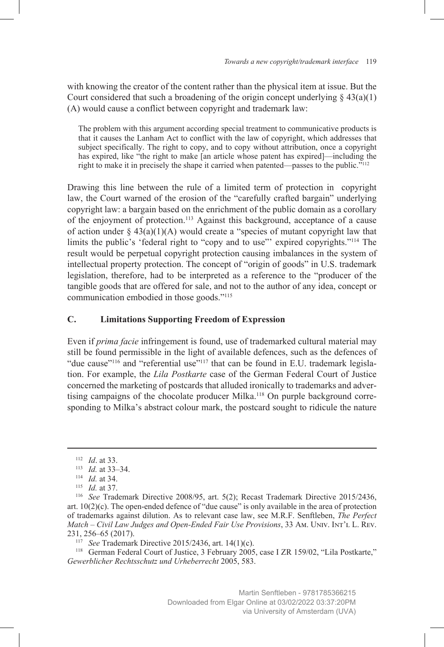with knowing the creator of the content rather than the physical item at issue. But the Court considered that such a broadening of the origin concept underlying  $\S 43(a)(1)$ (A) would cause a conflict between copyright and trademark law:

The problem with this argument according special treatment to communicative products is that it causes the Lanham Act to conflict with the law of copyright, which addresses that subject specifically. The right to copy, and to copy without attribution, once a copyright has expired, like "the right to make [an article whose patent has expired]—including the right to make it in precisely the shape it carried when patented—passes to the public."112

Drawing this line between the rule of a limited term of protection in copyright law, the Court warned of the erosion of the "carefully crafted bargain" underlying copyright law: a bargain based on the enrichment of the public domain as a corollary of the enjoyment of protection.113 Against this background, acceptance of a cause of action under  $\S$  43(a)(1)(A) would create a "species of mutant copyright law that limits the public's 'federal right to "copy and to use"' expired copyrights."<sup>114</sup> The result would be perpetual copyright protection causing imbalances in the system of intellectual property protection. The concept of "origin of goods" in U.S. trademark legislation, therefore, had to be interpreted as a reference to the "producer of the tangible goods that are offered for sale, and not to the author of any idea, concept or communication embodied in those goods."115

#### **C. Limitations Supporting Freedom of Expression**

Even if *prima facie* infringement is found, use of trademarked cultural material may still be found permissible in the light of available defences, such as the defences of "due cause"<sup>116</sup> and "referential use"<sup>117</sup> that can be found in E.U. trademark legislation. For example, the *Lila Postkarte* case of the German Federal Court of Justice concerned the marketing of postcards that alluded ironically to trademarks and advertising campaigns of the chocolate producer Milka.<sup>118</sup> On purple background corresponding to Milka's abstract colour mark, the postcard sought to ridicule the nature

<sup>112</sup> *Id*. at 33.

<sup>113</sup> *Id.* at 33–34.

<sup>114</sup> *Id.* at 34.

<sup>115</sup> *Id.* at 37.

<sup>116</sup> *See* Trademark Directive 2008/95, art. 5(2); Recast Trademark Directive 2015/2436, art. 10(2)(c). The open-ended defence of "due cause" is only available in the area of protection of trademarks against dilution. As to relevant case law, see M.R.F. Senftleben, *The Perfect Match – Civil Law Judges and Open-Ended Fair Use Provisions*, 33 Am. Univ. Int'l L. Rev. 231, 256–65 (2017). 117 *See* Trademark Directive 2015/2436, art. 14(1)(c).

<sup>118</sup> German Federal Court of Justice, 3 February 2005, case I ZR 159/02, "Lila Postkarte," *Gewerblicher Rechtsschutz und Urheberrecht* 2005, 583.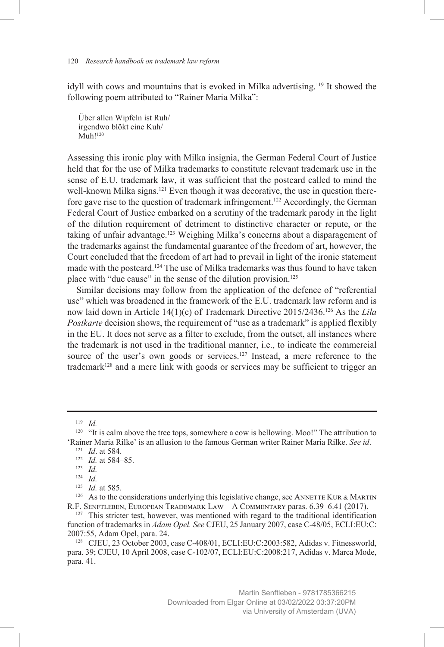idyll with cows and mountains that is evoked in Milka advertising.119 It showed the following poem attributed to "Rainer Maria Milka":

Über allen Wipfeln ist Ruh/ irgendwo blökt eine Kuh/ Muh!<sup>120</sup>

Assessing this ironic play with Milka insignia, the German Federal Court of Justice held that for the use of Milka trademarks to constitute relevant trademark use in the sense of E.U. trademark law, it was sufficient that the postcard called to mind the well-known Milka signs.<sup>121</sup> Even though it was decorative, the use in question therefore gave rise to the question of trademark infringement.<sup>122</sup> Accordingly, the German Federal Court of Justice embarked on a scrutiny of the trademark parody in the light of the dilution requirement of detriment to distinctive character or repute, or the taking of unfair advantage.<sup>123</sup> Weighing Milka's concerns about a disparagement of the trademarks against the fundamental guarantee of the freedom of art, however, the Court concluded that the freedom of art had to prevail in light of the ironic statement made with the postcard.<sup>124</sup> The use of Milka trademarks was thus found to have taken place with "due cause" in the sense of the dilution provision.125

Similar decisions may follow from the application of the defence of "referential use" which was broadened in the framework of the E.U. trademark law reform and is now laid down in Article 14(1)(c) of Trademark Directive 2015/2436.126 As the *Lila Postkarte* decision shows, the requirement of "use as a trademark" is applied flexibly in the EU. It does not serve as a filter to exclude, from the outset, all instances where the trademark is not used in the traditional manner, i.e., to indicate the commercial source of the user's own goods or services.<sup>127</sup> Instead, a mere reference to the  $trademark<sup>128</sup>$  and a mere link with goods or services may be sufficient to trigger an

<sup>119</sup> *Id.*

<sup>&</sup>lt;sup>120</sup> "It is calm above the tree tops, somewhere a cow is bellowing. Moo!" The attribution to 'Rainer Maria Rilke' is an allusion to the famous German writer Rainer Maria Rilke. *See id*.

<sup>121</sup> *Id*. at 584.

<sup>122</sup> *Id.* at 584–85.

<sup>123</sup> *Id.*

<sup>124</sup> *Id.*

<sup>125</sup> *Id.* at 585.

<sup>&</sup>lt;sup>126</sup> As to the considerations underlying this legislative change, see ANNETTE KUR & MARTIN R.F. Senftleben, European Trademark Law – A Commentary paras. 6.39–6.41 (2017).

 $127$  This stricter test, however, was mentioned with regard to the traditional identification function of trademarks in *Adam Opel. See* CJEU, 25 January 2007, case C-48/05, ECLI:EU:C: 2007:55, Adam Opel, para. 24.

<sup>128</sup> CJEU, 23 October 2003, case C-408/01, ECLI:EU:C:2003:582, Adidas v. Fitnessworld, para. 39; CJEU, 10 April 2008, case C-102/07, ECLI:EU:C:2008:217, Adidas v. Marca Mode, para. 41.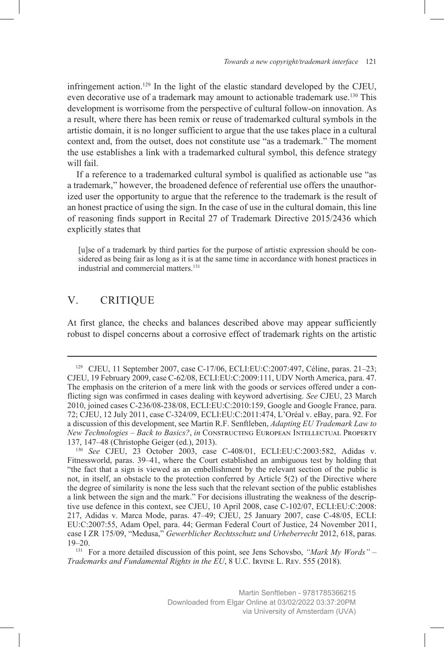infringement action.129 In the light of the elastic standard developed by the CJEU, even decorative use of a trademark may amount to actionable trademark use.<sup>130</sup> This development is worrisome from the perspective of cultural follow-on innovation. As a result, where there has been remix or reuse of trademarked cultural symbols in the artistic domain, it is no longer sufficient to argue that the use takes place in a cultural context and, from the outset, does not constitute use "as a trademark." The moment the use establishes a link with a trademarked cultural symbol, this defence strategy will fail.

If a reference to a trademarked cultural symbol is qualified as actionable use "as a trademark," however, the broadened defence of referential use offers the unauthorized user the opportunity to argue that the reference to the trademark is the result of an honest practice of using the sign. In the case of use in the cultural domain, this line of reasoning finds support in Recital 27 of Trademark Directive 2015/2436 which explicitly states that

[u]se of a trademark by third parties for the purpose of artistic expression should be considered as being fair as long as it is at the same time in accordance with honest practices in industrial and commercial matters.131

# V. CRITIQUE

At first glance, the checks and balances described above may appear sufficiently robust to dispel concerns about a corrosive effect of trademark rights on the artistic

<sup>129</sup> CJEU, 11 September 2007, case C-17/06, ECLI:EU:C:2007:497, Céline, paras. 21–23; CJEU, 19 February 2009, case C-62/08, ECLI:EU:C:2009:111, UDV North America, para. 47. The emphasis on the criterion of a mere link with the goods or services offered under a conflicting sign was confirmed in cases dealing with keyword advertising. *See* CJEU, 23 March 2010, joined cases C-236/08-238/08, ECLI:EU:C:2010:159, Google and Google France, para. 72; CJEU, 12 July 2011, case C-324/09, ECLI:EU:C:2011:474, L'Oréal v. eBay, para. 92. For a discussion of this development, see Martin R.F. Senftleben, *Adapting EU Trademark Law to New Technologies – Back to Basics?*, *in* Constructing European Intellectual Property 137, 147–48 (Christophe Geiger (ed.), 2013).

<sup>130</sup> *See* CJEU, 23 October 2003, case C-408/01, ECLI:EU:C:2003:582, Adidas v. Fitnessworld, paras. 39–41, where the Court established an ambiguous test by holding that "the fact that a sign is viewed as an embellishment by the relevant section of the public is not, in itself, an obstacle to the protection conferred by Article 5(2) of the Directive where the degree of similarity is none the less such that the relevant section of the public establishes a link between the sign and the mark." For decisions illustrating the weakness of the descriptive use defence in this context, see CJEU, 10 April 2008, case C-102/07, ECLI:EU:C:2008: 217, Adidas v. Marca Mode, paras. 47–49; CJEU, 25 January 2007, case C-48/05, ECLI: EU:C:2007:55, Adam Opel, para. 44; German Federal Court of Justice, 24 November 2011, case I ZR 175/09, "Medusa," *Gewerblicher Rechtsschutz und Urheberrecht* 2012, 618, paras. 19–20.

<sup>131</sup> For a more detailed discussion of this point, see Jens Schovsbo, *"Mark My Words" – Trademarks and Fundamental Rights in the EU*, 8 U.C. Irvine L. Rev. 555 (2018).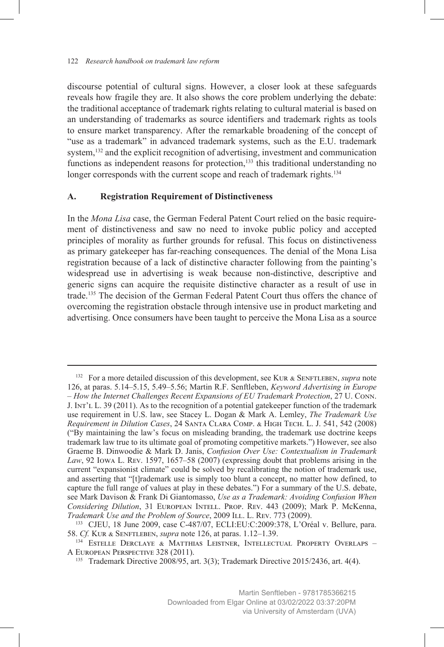discourse potential of cultural signs. However, a closer look at these safeguards reveals how fragile they are. It also shows the core problem underlying the debate: the traditional acceptance of trademark rights relating to cultural material is based on an understanding of trademarks as source identifiers and trademark rights as tools to ensure market transparency. After the remarkable broadening of the concept of "use as a trademark" in advanced trademark systems, such as the E.U. trademark system,<sup>132</sup> and the explicit recognition of advertising, investment and communication functions as independent reasons for protection,<sup>133</sup> this traditional understanding no longer corresponds with the current scope and reach of trademark rights.<sup>134</sup>

#### **A. Registration Requirement of Distinctiveness**

In the *Mona Lisa* case, the German Federal Patent Court relied on the basic requirement of distinctiveness and saw no need to invoke public policy and accepted principles of morality as further grounds for refusal. This focus on distinctiveness as primary gatekeeper has far-reaching consequences. The denial of the Mona Lisa registration because of a lack of distinctive character following from the painting's widespread use in advertising is weak because non-distinctive, descriptive and generic signs can acquire the requisite distinctive character as a result of use in trade.135 The decision of the German Federal Patent Court thus offers the chance of overcoming the registration obstacle through intensive use in product marketing and advertising. Once consumers have been taught to perceive the Mona Lisa as a source

<sup>132</sup> For a more detailed discussion of this development, see Kur & Senftleben, *supra* note 126, at paras. 5.14–5.15, 5.49–5.56; Martin R.F. Senftleben, *Keyword Advertising in Europe – How the Internet Challenges Recent Expansions of EU Trademark Protection*, 27 U. Conn. J. Int'l L. 39 (2011). As to the recognition of a potential gatekeeper function of the trademark use requirement in U.S. law, see Stacey L. Dogan & Mark A. Lemley, *The Trademark Use Requirement in Dilution Cases*, 24 Santa Clara Comp. & High Tech. L. J. 541, 542 (2008) ("By maintaining the law's focus on misleading branding, the trademark use doctrine keeps trademark law true to its ultimate goal of promoting competitive markets.") However, see also Graeme B. Dinwoodie & Mark D. Janis, *Confusion Over Use: Contextualism in Trademark Law*, 92 Iowa L. Rev. 1597, 1657–58 (2007) (expressing doubt that problems arising in the current "expansionist climate" could be solved by recalibrating the notion of trademark use, and asserting that "[t]rademark use is simply too blunt a concept, no matter how defined, to capture the full range of values at play in these debates.") For a summary of the U.S. debate, see Mark Davison & Frank Di Giantomasso, *Use as a Trademark: Avoiding Confusion When Considering Dilution*, 31 European Intell. Prop. Rev. 443 (2009); Mark P. McKenna, *Trademark Use and the Problem of Source*, 2009 ILL. L. Rev. 773 (2009).

<sup>133</sup> CJEU, 18 June 2009, case C-487/07, ECLI:EU:C:2009:378, L'Oréal v. Bellure, para. 58. *Cf.* Kur & Senftleben, *supra* note 126, at paras. 1.12–1.39.

<sup>134</sup> Estelle Derclaye & Matthias Leistner, Intellectual Property Overlaps – A European Perspective 328 (2011).

<sup>135</sup> Trademark Directive 2008/95, art. 3(3); Trademark Directive 2015/2436, art. 4(4).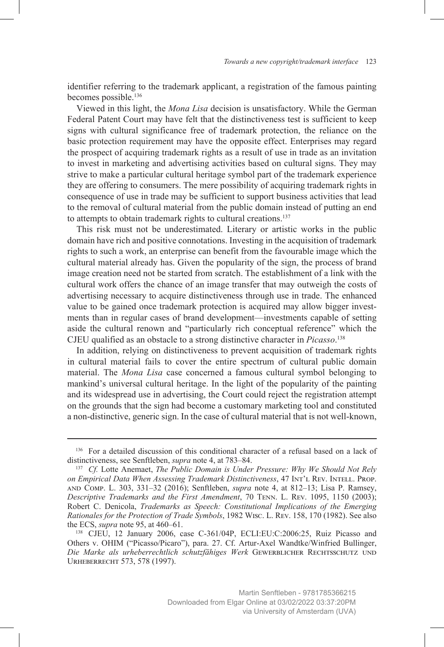identifier referring to the trademark applicant, a registration of the famous painting becomes possible.136

Viewed in this light, the *Mona Lisa* decision is unsatisfactory. While the German Federal Patent Court may have felt that the distinctiveness test is sufficient to keep signs with cultural significance free of trademark protection, the reliance on the basic protection requirement may have the opposite effect. Enterprises may regard the prospect of acquiring trademark rights as a result of use in trade as an invitation to invest in marketing and advertising activities based on cultural signs. They may strive to make a particular cultural heritage symbol part of the trademark experience they are offering to consumers. The mere possibility of acquiring trademark rights in consequence of use in trade may be sufficient to support business activities that lead to the removal of cultural material from the public domain instead of putting an end to attempts to obtain trademark rights to cultural creations.<sup>137</sup>

This risk must not be underestimated. Literary or artistic works in the public domain have rich and positive connotations. Investing in the acquisition of trademark rights to such a work, an enterprise can benefit from the favourable image which the cultural material already has. Given the popularity of the sign, the process of brand image creation need not be started from scratch. The establishment of a link with the cultural work offers the chance of an image transfer that may outweigh the costs of advertising necessary to acquire distinctiveness through use in trade. The enhanced value to be gained once trademark protection is acquired may allow bigger investments than in regular cases of brand development—investments capable of setting aside the cultural renown and "particularly rich conceptual reference" which the CJEU qualified as an obstacle to a strong distinctive character in *Picasso*. 138

In addition, relying on distinctiveness to prevent acquisition of trademark rights in cultural material fails to cover the entire spectrum of cultural public domain material. The *Mona Lisa* case concerned a famous cultural symbol belonging to mankind's universal cultural heritage. In the light of the popularity of the painting and its widespread use in advertising, the Court could reject the registration attempt on the grounds that the sign had become a customary marketing tool and constituted a non-distinctive, generic sign. In the case of cultural material that is not well-known,

<sup>136</sup> For a detailed discussion of this conditional character of a refusal based on a lack of distinctiveness, see Senftleben, *supra* note 4, at 783–84.

<sup>137</sup> *Cf.* Lotte Anemaet, *The Public Domain is Under Pressure: Why We Should Not Rely on Empirical Data When Assessing Trademark Distinctiveness*, 47 Int'l Rev. Intell. Prop. and Comp. L. 303, 331–32 (2016); Senftleben, *supra* note 4, at 812–13; Lisa P. Ramsey, *Descriptive Trademarks and the First Amendment*, 70 Tenn. L. Rev. 1095, 1150 (2003); Robert C. Denicola, *Trademarks as Speech: Constitutional Implications of the Emerging Rationales for the Protection of Trade Symbols*, 1982 Wisc. L. Rev. 158, 170 (1982). See also the ECS, *supra* note 95, at 460–61.

<sup>138</sup> CJEU, 12 January 2006, case C-361/04P, ECLI:EU:C:2006:25, Ruiz Picasso and Others v. OHIM ("Picasso/Picaro"), para. 27. Cf. Artur-Axel Wandtke/Winfried Bullinger, *Die Marke als urheberrechtlich schutzfähiges Werk* Gewerblicher Rechtsschutz und Urheberrecht 573, 578 (1997).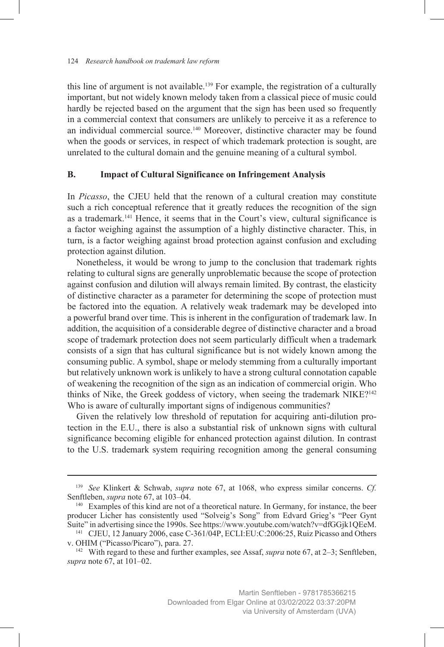this line of argument is not available.<sup>139</sup> For example, the registration of a culturally important, but not widely known melody taken from a classical piece of music could hardly be rejected based on the argument that the sign has been used so frequently in a commercial context that consumers are unlikely to perceive it as a reference to an individual commercial source.<sup>140</sup> Moreover, distinctive character may be found when the goods or services, in respect of which trademark protection is sought, are unrelated to the cultural domain and the genuine meaning of a cultural symbol.

#### **B. Impact of Cultural Significance on Infringement Analysis**

In *Picasso*, the CJEU held that the renown of a cultural creation may constitute such a rich conceptual reference that it greatly reduces the recognition of the sign as a trademark.141 Hence, it seems that in the Court's view, cultural significance is a factor weighing against the assumption of a highly distinctive character. This, in turn, is a factor weighing against broad protection against confusion and excluding protection against dilution.

Nonetheless, it would be wrong to jump to the conclusion that trademark rights relating to cultural signs are generally unproblematic because the scope of protection against confusion and dilution will always remain limited. By contrast, the elasticity of distinctive character as a parameter for determining the scope of protection must be factored into the equation. A relatively weak trademark may be developed into a powerful brand over time. This is inherent in the configuration of trademark law. In addition, the acquisition of a considerable degree of distinctive character and a broad scope of trademark protection does not seem particularly difficult when a trademark consists of a sign that has cultural significance but is not widely known among the consuming public. A symbol, shape or melody stemming from a culturally important but relatively unknown work is unlikely to have a strong cultural connotation capable of weakening the recognition of the sign as an indication of commercial origin. Who thinks of Nike, the Greek goddess of victory, when seeing the trademark NIKE?<sup>142</sup> Who is aware of culturally important signs of indigenous communities?

Given the relatively low threshold of reputation for acquiring anti-dilution protection in the E.U., there is also a substantial risk of unknown signs with cultural significance becoming eligible for enhanced protection against dilution. In contrast to the U.S. trademark system requiring recognition among the general consuming

<sup>&</sup>lt;sup>139</sup> *See* Klinkert & Schwab, *supra* note 67, at 1068, who express similar concerns. *Cf.* Senftleben, *supra* note 67, at 103–04.

<sup>&</sup>lt;sup>140</sup> Examples of this kind are not of a theoretical nature. In Germany, for instance, the beer producer Licher has consistently used "Solveig's Song" from Edvard Grieg's "Peer Gynt Suite" in advertising since the 1990s. See https://www.youtube.com/watch?v=dfGGjk1QEeM.

<sup>141</sup> CJEU, 12 January 2006, case C-361/04P, ECLI:EU:C:2006:25, Ruiz Picasso and Others v. OHIM ("Picasso/Picaro"), para. 27.

<sup>142</sup> With regard to these and further examples, see Assaf, *supra* note 67, at 2–3; Senftleben, *supra* note 67, at 101–02.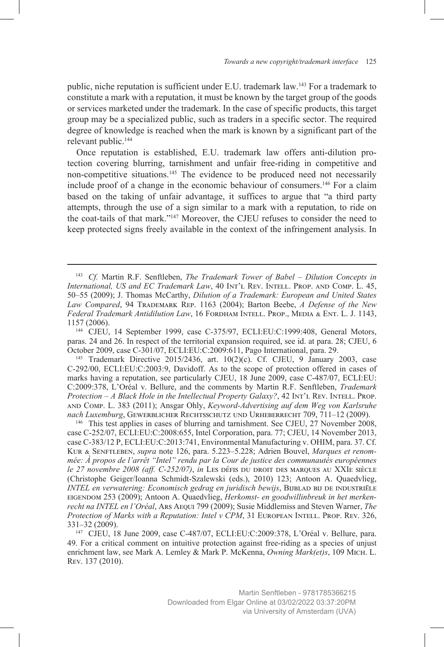public, niche reputation is sufficient under E.U. trademark law.143 For a trademark to constitute a mark with a reputation, it must be known by the target group of the goods or services marketed under the trademark. In the case of specific products, this target group may be a specialized public, such as traders in a specific sector. The required degree of knowledge is reached when the mark is known by a significant part of the relevant public.144

Once reputation is established, E.U. trademark law offers anti-dilution protection covering blurring, tarnishment and unfair free-riding in competitive and non-competitive situations.<sup>145</sup> The evidence to be produced need not necessarily include proof of a change in the economic behaviour of consumers.146 For a claim based on the taking of unfair advantage, it suffices to argue that "a third party attempts, through the use of a sign similar to a mark with a reputation, to ride on the coat-tails of that mark."147 Moreover, the CJEU refuses to consider the need to keep protected signs freely available in the context of the infringement analysis. In

paras. 24 and 26. In respect of the territorial expansion required, see id. at para. 28; CJEU, 6 October 2009, case C-301/07, ECLI:EU:C:2009:611, Pago International, para. 29.

<sup>145</sup> Trademark Directive 2015/2436, art. 10(2)(c). Cf. CJEU, 9 January 2003, case C-292/00, ECLI:EU:C:2003:9, Davidoff. As to the scope of protection offered in cases of marks having a reputation, see particularly CJEU, 18 June 2009, case C-487/07, ECLI:EU: C:2009:378, L'Oréal v. Bellure, and the comments by Martin R.F. Senftleben, *Trademark Protection – A Black Hole in the Intellectual Property Galaxy?*, 42 INT'L REV. INTELL. PROP. and Comp. L. 383 (2011); Ansgar Ohly, *Keyword-Advertising auf dem Weg von Karlsruhe nach Luxemburg*, Gewerblicher Rechtsschutz und Urheberrecht 709, 711–12 (2009).

<sup>146</sup> This test applies in cases of blurring and tarnishment. See CJEU, 27 November 2008, case C-252/07, ECLI:EU:C:2008:655, Intel Corporation, para. 77; CJEU, 14 November 2013, case C-383/12 P, ECLI:EU:C:2013:741, Environmental Manufacturing v. OHIM, para. 37. Cf. Kur & Senftleben, *supra* note 126, para. 5.223–5.228; Adrien Bouvel, *Marques et renommée: À propos de l'arrêt "Intel" rendu par la Cour de justice des communautés européennes le 27 novembre 2008 (aff. C-252/07)*, *in* Les défis du droit des marques au XXIe siècle (Christophe Geiger/Ioanna Schmidt-Szalewski (eds.), 2010) 123; Antoon A. Quaedvlieg, *INTEL en verwatering: Economisch gedrag en juridisch bewijs*, BIJBLAD BIJ DE INDUSTRIËLE eigendom 253 (2009); Antoon A. Quaedvlieg, *Herkomst- en goodwillinbreuk in het merkenrecht na INTEL en l'Oréal*, Ars Aequi 799 (2009); Susie Middlemiss and Steven Warner, *The Protection of Marks with a Reputation: Intel v CPM*, 31 EUROPEAN INTELL. PROP. REV. 326, 331–32 (2009).

<sup>147</sup> CJEU, 18 June 2009, case C-487/07, ECLI:EU:C:2009:378, L'Oréal v. Bellure, para. 49. For a critical comment on intuitive protection against free-riding as a species of unjust enrichment law, see Mark A. Lemley & Mark P. McKenna, *Owning Mark(et)s*, 109 Mich. L. Rev. 137 (2010).

<sup>143</sup> *Cf.* Martin R.F. Senftleben, *The Trademark Tower of Babel – Dilution Concepts in International, US and EC Trademark Law*, 40 Int'l Rev. INTELL. PROP. AND COMP. L. 45, 50–55 (2009); J. Thomas McCarthy, *Dilution of a Trademark: European and United States Law Compared*, 94 Trademark Rep. 1163 (2004); Barton Beebe, *A Defense of the New Federal Trademark Antidilution Law*, 16 Fordham Intell. Prop., Media & Ent. L. J. 1143, 1157 (2006). 144 CJEU, 14 September 1999, case C-375/97, ECLI:EU:C:1999:408, General Motors,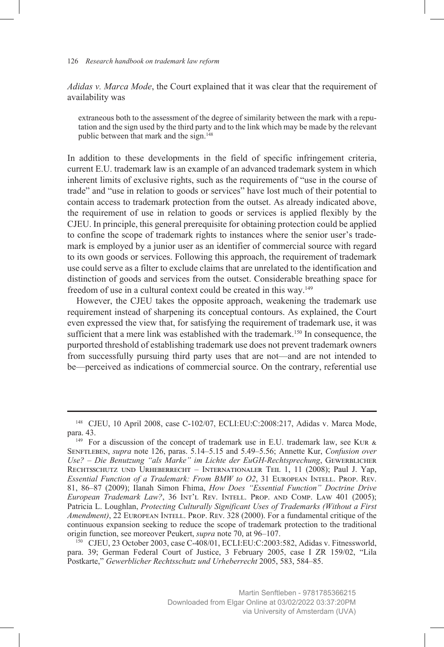*Adidas v. Marca Mode*, the Court explained that it was clear that the requirement of availability was

extraneous both to the assessment of the degree of similarity between the mark with a reputation and the sign used by the third party and to the link which may be made by the relevant public between that mark and the sign.<sup>148</sup>

In addition to these developments in the field of specific infringement criteria, current E.U. trademark law is an example of an advanced trademark system in which inherent limits of exclusive rights, such as the requirements of "use in the course of trade" and "use in relation to goods or services" have lost much of their potential to contain access to trademark protection from the outset. As already indicated above, the requirement of use in relation to goods or services is applied flexibly by the CJEU. In principle, this general prerequisite for obtaining protection could be applied to confine the scope of trademark rights to instances where the senior user's trademark is employed by a junior user as an identifier of commercial source with regard to its own goods or services. Following this approach, the requirement of trademark use could serve as a filter to exclude claims that are unrelated to the identification and distinction of goods and services from the outset. Considerable breathing space for freedom of use in a cultural context could be created in this way.<sup>149</sup>

However, the CJEU takes the opposite approach, weakening the trademark use requirement instead of sharpening its conceptual contours. As explained, the Court even expressed the view that, for satisfying the requirement of trademark use, it was sufficient that a mere link was established with the trademark.150 In consequence, the purported threshold of establishing trademark use does not prevent trademark owners from successfully pursuing third party uses that are not—and are not intended to be—perceived as indications of commercial source. On the contrary, referential use

<sup>150</sup> CJEU, 23 October 2003, case C-408/01, ECLI:EU:C:2003:582, Adidas v. Fitnessworld, para. 39; German Federal Court of Justice, 3 February 2005, case I ZR 159/02, "Lila Postkarte," *Gewerblicher Rechtsschutz und Urheberrecht* 2005, 583, 584–85.

<sup>148</sup> CJEU, 10 April 2008, case C-102/07, ECLI:EU:C:2008:217, Adidas v. Marca Mode, para. 43.

<sup>&</sup>lt;sup>149</sup> For a discussion of the concept of trademark use in E.U. trademark law, see Kur  $\&$ Senftleben, *supra* note 126, paras. 5.14–5.15 and 5.49–5.56; Annette Kur, *Confusion over*  Use? - Die Benutzung "als Marke" im Lichte der EuGH-Rechtsprechung, GEWERBLICHER RECHTSSCHUTZ UND URHEBERRECHT – INTERNATIONALER TEIL 1, 11 (2008); Paul J. Yap, *Essential Function of a Trademark: From BMW to O2*, 31 European Intell. Prop. Rev. 81, 86–87 (2009); Ilanah Simon Fhima, *How Does "Essential Function" Doctrine Drive European Trademark Law?*, 36 Int'l Rev. Intell. Prop. and Comp. Law 401 (2005); Patricia L. Loughlan, *Protecting Culturally Significant Uses of Trademarks (Without a First Amendment*), 22 EUROPEAN INTELL. PROP. REV. 328 (2000). For a fundamental critique of the continuous expansion seeking to reduce the scope of trademark protection to the traditional origin function, see moreover Peukert, *supra* note 70, at 96–107.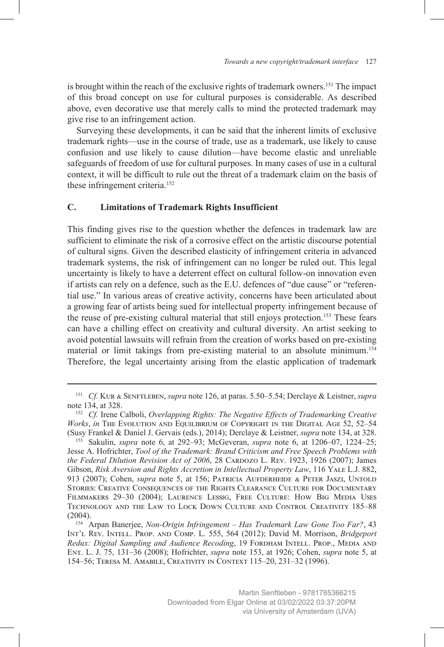is brought within the reach of the exclusive rights of trademark owners.151 The impact of this broad concept on use for cultural purposes is considerable. As described above, even decorative use that merely calls to mind the protected trademark may give rise to an infringement action.

Surveying these developments, it can be said that the inherent limits of exclusive trademark rights—use in the course of trade, use as a trademark, use likely to cause confusion and use likely to cause dilution—have become elastic and unreliable safeguards of freedom of use for cultural purposes. In many cases of use in a cultural context, it will be difficult to rule out the threat of a trademark claim on the basis of these infringement criteria.<sup>152</sup>

#### **C. Limitations of Trademark Rights Insufficient**

This finding gives rise to the question whether the defences in trademark law are sufficient to eliminate the risk of a corrosive effect on the artistic discourse potential of cultural signs. Given the described elasticity of infringement criteria in advanced trademark systems, the risk of infringement can no longer be ruled out. This legal uncertainty is likely to have a deterrent effect on cultural follow-on innovation even if artists can rely on a defence, such as the E.U. defences of "due cause" or "referential use." In various areas of creative activity, concerns have been articulated about a growing fear of artists being sued for intellectual property infringement because of the reuse of pre-existing cultural material that still enjoys protection.<sup>153</sup> These fears can have a chilling effect on creativity and cultural diversity. An artist seeking to avoid potential lawsuits will refrain from the creation of works based on pre-existing material or limit takings from pre-existing material to an absolute minimum.<sup>154</sup> Therefore, the legal uncertainty arising from the elastic application of trademark

<sup>151</sup> *Cf.* Kur & Senftleben, *supra* note 126, at paras. 5.50–5.54; Derclaye & Leistner, *supra* note 134, at 328.

<sup>152</sup> *Cf.* Irene Calboli, *Overlapping Rights: The Negative Effects of Trademarking Creative Works*, *in* The Evolution and Equilibrium of Copyright in the Digital Age 52, 52–54 (Susy Frankel & Daniel J. Gervais (eds.), 2014); Derclaye & Leistner, *supra* note 134, at 328.

<sup>153</sup> Sakulin, *supra* note 6, at 292–93; McGeveran, *supra* note 6, at 1206–07, 1224–25; Jesse A. Hofrichter, *Tool of the Trademark: Brand Criticism and Free Speech Problems with the Federal Dilution Revision Act of 2006*, 28 CARDOZO L. REV. 1923, 1926 (2007); James Gibson, *Risk Aversion and Rights Accretion in Intellectual Property Law*, 116 YALE L.J. 882, 913 (2007); Cohen, *supra* note 5, at 156; Patricia Aufderheide & Peter Jaszi, Untold Stories: Creative Consequences of the Rights Clearance Culture for Documentary Filmmakers 29–30 (2004); Laurence Lessig, Free Culture: How Big Media Uses Technology and the Law to Lock Down Culture and Control Creativity 185–88 (2004).

<sup>154</sup> Arpan Banerjee, *Non-Origin Infringement – Has Trademark Law Gone Too Far?*, 43 Int'l Rev. Intell. Prop. and Comp. L. 555, 564 (2012); David M. Morrison, *Bridgeport Redux: Digital Sampling and Audience Recoding*, 19 FORDHAM INTELL. PROP., MEDIA AND Ent. L. J. 75, 131–36 (2008); Hofrichter, *supra* note 153, at 1926; Cohen, *supra* note 5, at 154–56; Teresa M. Amabile, Creativity in Context 115–20, 231–32 (1996).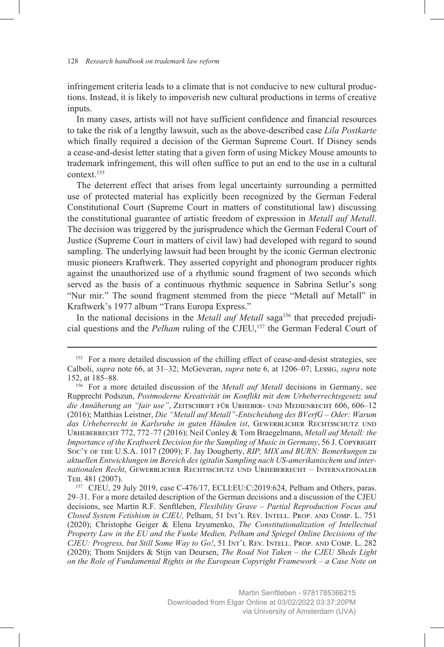infringement criteria leads to a climate that is not conducive to new cultural productions. Instead, it is likely to impoverish new cultural productions in terms of creative inputs.

In many cases, artists will not have sufficient confidence and financial resources to take the risk of a lengthy lawsuit, such as the above-described case *Lila Postkarte* which finally required a decision of the German Supreme Court. If Disney sends a cease-and-desist letter stating that a given form of using Mickey Mouse amounts to trademark infringement, this will often suffice to put an end to the use in a cultural context.155

The deterrent effect that arises from legal uncertainty surrounding a permitted use of protected material has explicitly been recognized by the German Federal Constitutional Court (Supreme Court in matters of constitutional law) discussing the constitutional guarantee of artistic freedom of expression in *Metall auf Metall*. The decision was triggered by the jurisprudence which the German Federal Court of Justice (Supreme Court in matters of civil law) had developed with regard to sound sampling. The underlying lawsuit had been brought by the iconic German electronic music pioneers Kraftwerk. They asserted copyright and phonogram producer rights against the unauthorized use of a rhythmic sound fragment of two seconds which served as the basis of a continuous rhythmic sequence in Sabrina Setlur's song "Nur mir." The sound fragment stemmed from the piece "Metall auf Metall" in Kraftwerk's 1977 album "Trans Europa Express."

In the national decisions in the *Metall auf Metall* saga<sup>156</sup> that preceded prejudicial questions and the *Pelham* ruling of the CJEU,<sup>157</sup> the German Federal Court of

<sup>&</sup>lt;sup>155</sup> For a more detailed discussion of the chilling effect of cease-and-desist strategies, see Calboli, *supra* note 66, at 31–32; McGeveran, *supra* note 6, at 1206–07; Lessig, *supra* note 152, at 185–88.

<sup>156</sup> For a more detailed discussion of the *Metall auf Metall* decisions in Germany, see Rupprecht Podszun, *Postmoderne Kreativität im Konflikt mit dem Urheberrechtsgesetz und die Annäherung an "fair use"*, Zeitschrift für Urheber- und Medienrecht 606, 606–12 (2016); Matthias Leistner, *Die "Metall auf Metall"-Entscheidung des BVerfG – Oder: Warum*  das Urheberrecht in Karlsruhe in guten Händen ist, GEWERBLICHER RECHTSSCHUTZ UND Urheberrecht 772, 772–77 (2016); Neil Conley & Tom Braegelmann, *Metall auf Metall: the Importance of the Kraftwerk Decision for the Sampling of Music in Germany*, 56 J. Copyright Soc'y of the U.S.A. 1017 (2009); F. Jay Dougherty, *RIP, MIX and BURN: Bemerkungen zu aktuellen Entwicklungen im Bereich des igitalin Sampling nach US-amerikanischem und internationalen Recht*, Gewerblicher Rechtsschutz und Urheberrecht – Internationaler TEIL 481 (2007).

<sup>157</sup> CJEU, 29 July 2019, case C-476/17, ECLI:EU:C:2019:624, Pelham and Others, paras. 29–31. For a more detailed description of the German decisions and a discussion of the CJEU decisions, see Martin R.F. Senftleben, *Flexibility Grave – Partial Reproduction Focus and Closed System Fetishism in CJEU,* Pelham, 51 Int'l Rev. Intell. Prop. and Comp. L. 751 (2020); Christophe Geiger & Elena Izyumenko, *The Constitutionalization of Intellectual Property Law in the EU and the Funke Medien, Pelham and Spiegel Online Decisions of the CJEU: Progress, but Still Some Way to Go!*, 51 Int'l Rev. Intell. Prop. and Comp. L. 282 (2020); Thom Snijders & Stijn van Deursen, *The Road Not Taken – the CJEU Sheds Light on the Role of Fundamental Rights in the European Copyright Framework – a Case Note on*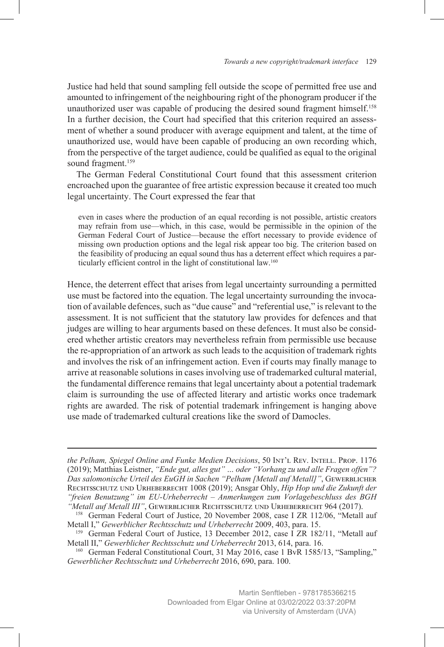Justice had held that sound sampling fell outside the scope of permitted free use and amounted to infringement of the neighbouring right of the phonogram producer if the unauthorized user was capable of producing the desired sound fragment himself.<sup>158</sup> In a further decision, the Court had specified that this criterion required an assessment of whether a sound producer with average equipment and talent, at the time of unauthorized use, would have been capable of producing an own recording which, from the perspective of the target audience, could be qualified as equal to the original sound fragment.<sup>159</sup>

The German Federal Constitutional Court found that this assessment criterion encroached upon the guarantee of free artistic expression because it created too much legal uncertainty. The Court expressed the fear that

even in cases where the production of an equal recording is not possible, artistic creators may refrain from use—which, in this case, would be permissible in the opinion of the German Federal Court of Justice—because the effort necessary to provide evidence of missing own production options and the legal risk appear too big. The criterion based on the feasibility of producing an equal sound thus has a deterrent effect which requires a particularly efficient control in the light of constitutional law.160

Hence, the deterrent effect that arises from legal uncertainty surrounding a permitted use must be factored into the equation. The legal uncertainty surrounding the invocation of available defences, such as "due cause" and "referential use," is relevant to the assessment. It is not sufficient that the statutory law provides for defences and that judges are willing to hear arguments based on these defences. It must also be considered whether artistic creators may nevertheless refrain from permissible use because the re-appropriation of an artwork as such leads to the acquisition of trademark rights and involves the risk of an infringement action. Even if courts may finally manage to arrive at reasonable solutions in cases involving use of trademarked cultural material, the fundamental difference remains that legal uncertainty about a potential trademark claim is surrounding the use of affected literary and artistic works once trademark rights are awarded. The risk of potential trademark infringement is hanging above use made of trademarked cultural creations like the sword of Damocles.

*the Pelham, Spiegel Online and Funke Medien Decisions*, 50 Int'l Rev. Intell. Prop. 1176 (2019); Matthias Leistner, *"Ende gut, alles gut" … oder "Vorhang zu und alle Fragen offen"?*  Das salomonische Urteil des EuGH in Sachen "Pelham [Metall auf Metall]", GEWERBLICHER Rechtsschutz und Urheberrecht 1008 (2019); Ansgar Ohly, *Hip Hop und die Zukunft der "freien Benutzung" im EU-Urheberrecht – Anmerkungen zum Vorlagebeschluss des BGH "Metall auf Metall III"*, Gewerblicher Rechtsschutz und Urheberrecht 964 (2017).

<sup>158</sup> German Federal Court of Justice, 20 November 2008, case I ZR 112/06, "Metall auf Metall I," *Gewerblicher Rechtsschutz und Urheberrecht* 2009, 403, para. 15.

<sup>&</sup>lt;sup>159</sup> German Federal Court of Justice, 13 December 2012, case I ZR 182/11, "Metall auf Metall II," *Gewerblicher Rechtsschutz und Urheberrecht* 2013, 614, para. 16.

<sup>&</sup>lt;sup>160</sup> German Federal Constitutional Court, 31 May 2016, case 1 BvR 1585/13, "Sampling," *Gewerblicher Rechtsschutz und Urheberrecht* 2016, 690, para. 100.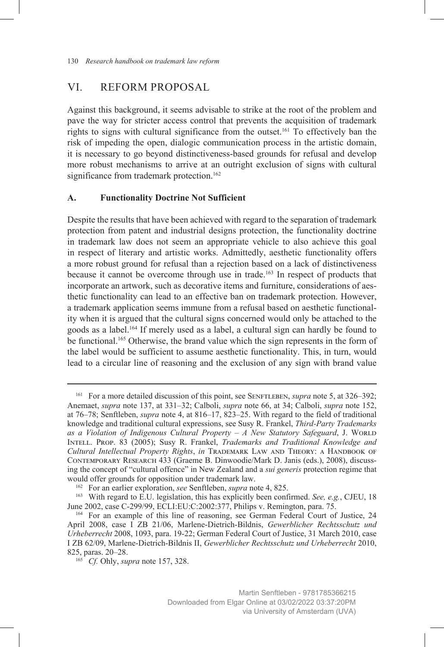# VI. REFORM PROPOSAL

Against this background, it seems advisable to strike at the root of the problem and pave the way for stricter access control that prevents the acquisition of trademark rights to signs with cultural significance from the outset.161 To effectively ban the risk of impeding the open, dialogic communication process in the artistic domain, it is necessary to go beyond distinctiveness-based grounds for refusal and develop more robust mechanisms to arrive at an outright exclusion of signs with cultural significance from trademark protection.<sup>162</sup>

#### **A. Functionality Doctrine Not Sufficient**

Despite the results that have been achieved with regard to the separation of trademark protection from patent and industrial designs protection, the functionality doctrine in trademark law does not seem an appropriate vehicle to also achieve this goal in respect of literary and artistic works. Admittedly, aesthetic functionality offers a more robust ground for refusal than a rejection based on a lack of distinctiveness because it cannot be overcome through use in trade.163 In respect of products that incorporate an artwork, such as decorative items and furniture, considerations of aesthetic functionality can lead to an effective ban on trademark protection. However, a trademark application seems immune from a refusal based on aesthetic functionality when it is argued that the cultural signs concerned would only be attached to the goods as a label.164 If merely used as a label, a cultural sign can hardly be found to be functional.165 Otherwise, the brand value which the sign represents in the form of the label would be sufficient to assume aesthetic functionality. This, in turn, would lead to a circular line of reasoning and the exclusion of any sign with brand value

<sup>&</sup>lt;sup>161</sup> For a more detailed discussion of this point, see SENFTLEBEN, *supra* note 5, at 326–392; Anemaet, *supra* note 137, at 331–32; Calboli, *supra* note 66, at 34; Calboli, *supra* note 152, at 76–78; Senftleben, *supra* note 4, at 816–17, 823–25. With regard to the field of traditional knowledge and traditional cultural expressions, see Susy R. Frankel, *Third-Party Trademarks*  as a Violation of Indigenous Cultural Property - A New Statutory Safeguard, J. WORLD Intell. Prop. 83 (2005); Susy R. Frankel, *Trademarks and Traditional Knowledge and Cultural Intellectual Property Rights*, *in* Trademark Law and Theory: a Handbook of Contemporary Research 433 (Graeme B. Dinwoodie/Mark D. Janis (eds.), 2008), discussing the concept of "cultural offence" in New Zealand and a *sui generis* protection regime that would offer grounds for opposition under trademark law.

<sup>162</sup> For an earlier exploration, *see* Senftleben, *supra* note 4, 825.

<sup>163</sup> With regard to E.U. legislation, this has explicitly been confirmed. *See, e.g.*, CJEU, 18 June 2002, case C-299/99, ECLI:EU:C:2002:377, Philips v. Remington, para. 75.

<sup>164</sup> For an example of this line of reasoning, see German Federal Court of Justice, 24 April 2008, case I ZB 21/06, Marlene-Dietrich-Bildnis, *Gewerblicher Rechtsschutz und Urheberrecht* 2008, 1093, para. 19-22; German Federal Court of Justice, 31 March 2010, case I ZB 62/09, Marlene-Dietrich-Bildnis II, *Gewerblicher Rechtsschutz und Urheberrecht* 2010, 825, paras. 20–28.

<sup>165</sup> *Cf.* Ohly, *supra* note 157, 328.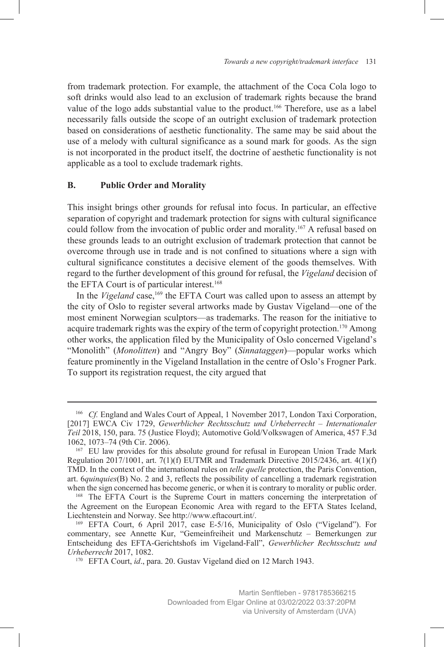from trademark protection. For example, the attachment of the Coca Cola logo to soft drinks would also lead to an exclusion of trademark rights because the brand value of the logo adds substantial value to the product.<sup>166</sup> Therefore, use as a label necessarily falls outside the scope of an outright exclusion of trademark protection based on considerations of aesthetic functionality. The same may be said about the use of a melody with cultural significance as a sound mark for goods. As the sign is not incorporated in the product itself, the doctrine of aesthetic functionality is not applicable as a tool to exclude trademark rights.

#### **B. Public Order and Morality**

This insight brings other grounds for refusal into focus. In particular, an effective separation of copyright and trademark protection for signs with cultural significance could follow from the invocation of public order and morality.167 A refusal based on these grounds leads to an outright exclusion of trademark protection that cannot be overcome through use in trade and is not confined to situations where a sign with cultural significance constitutes a decisive element of the goods themselves. With regard to the further development of this ground for refusal, the *Vigeland* decision of the EFTA Court is of particular interest.<sup>168</sup>

In the *Vigeland* case,<sup>169</sup> the EFTA Court was called upon to assess an attempt by the city of Oslo to register several artworks made by Gustav Vigeland—one of the most eminent Norwegian sculptors—as trademarks. The reason for the initiative to acquire trademark rights was the expiry of the term of copyright protection.<sup>170</sup> Among other works, the application filed by the Municipality of Oslo concerned Vigeland's "Monolith" (*Monolitten*) and "Angry Boy" (*Sinnataggen*)—popular works which feature prominently in the Vigeland Installation in the centre of Oslo's Frogner Park. To support its registration request, the city argued that

<sup>&</sup>lt;sup>166</sup> *Cf.* England and Wales Court of Appeal, 1 November 2017, London Taxi Corporation, [2017] EWCA Civ 1729, *Gewerblicher Rechtsschutz und Urheberrecht – Internationaler Teil* 2018, 150, para. 75 (Justice Floyd); Automotive Gold/Volkswagen of America, 457 F.3d 1062, 1073–74 (9th Cir. 2006).

<sup>167</sup> EU law provides for this absolute ground for refusal in European Union Trade Mark Regulation 2017/1001, art. 7(1)(f) EUTMR and Trademark Directive 2015/2436, art. 4(1)(f) TMD. In the context of the international rules on *telle quelle* protection, the Paris Convention, art. 6*quinquies*(B) No. 2 and 3, reflects the possibility of cancelling a trademark registration when the sign concerned has become generic, or when it is contrary to morality or public order.

<sup>168</sup> The EFTA Court is the Supreme Court in matters concerning the interpretation of the Agreement on the European Economic Area with regard to the EFTA States Iceland, Liechtenstein and Norway. See http://www.eftacourt.int/.

<sup>169</sup> EFTA Court, 6 April 2017, case E-5/16, Municipality of Oslo ("Vigeland"). For commentary, see Annette Kur, "Gemeinfreiheit und Markenschutz – Bemerkungen zur Entscheidung des EFTA-Gerichtshofs im Vigeland-Fall", *Gewerblicher Rechtsschutz und Urheberrecht* 2017, 1082.

<sup>170</sup> EFTA Court, *id*., para. 20. Gustav Vigeland died on 12 March 1943.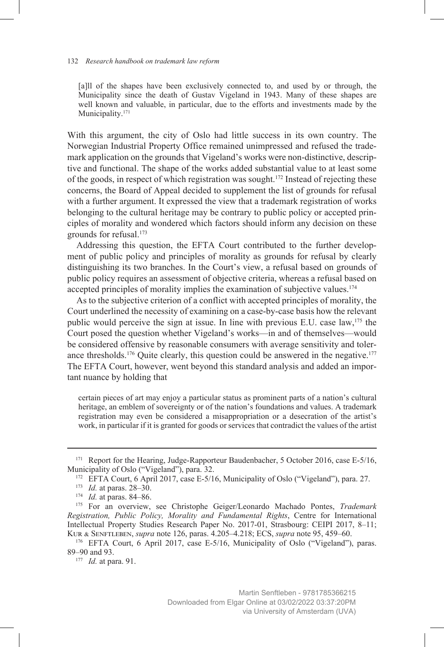[a]ll of the shapes have been exclusively connected to, and used by or through, the Municipality since the death of Gustav Vigeland in 1943. Many of these shapes are well known and valuable, in particular, due to the efforts and investments made by the Municipality.<sup>171</sup>

With this argument, the city of Oslo had little success in its own country. The Norwegian Industrial Property Office remained unimpressed and refused the trademark application on the grounds that Vigeland's works were non-distinctive, descriptive and functional. The shape of the works added substantial value to at least some of the goods, in respect of which registration was sought.172 Instead of rejecting these concerns, the Board of Appeal decided to supplement the list of grounds for refusal with a further argument. It expressed the view that a trademark registration of works belonging to the cultural heritage may be contrary to public policy or accepted principles of morality and wondered which factors should inform any decision on these grounds for refusal.173

Addressing this question, the EFTA Court contributed to the further development of public policy and principles of morality as grounds for refusal by clearly distinguishing its two branches. In the Court's view, a refusal based on grounds of public policy requires an assessment of objective criteria, whereas a refusal based on accepted principles of morality implies the examination of subjective values.<sup>174</sup>

As to the subjective criterion of a conflict with accepted principles of morality, the Court underlined the necessity of examining on a case-by-case basis how the relevant public would perceive the sign at issue. In line with previous E.U. case law, $175$  the Court posed the question whether Vigeland's works—in and of themselves—would be considered offensive by reasonable consumers with average sensitivity and tolerance thresholds.<sup>176</sup> Quite clearly, this question could be answered in the negative.<sup>177</sup> The EFTA Court, however, went beyond this standard analysis and added an important nuance by holding that

certain pieces of art may enjoy a particular status as prominent parts of a nation's cultural heritage, an emblem of sovereignty or of the nation's foundations and values. A trademark registration may even be considered a misappropriation or a desecration of the artist's work, in particular if it is granted for goods or services that contradict the values of the artist

<sup>&</sup>lt;sup>171</sup> Report for the Hearing, Judge-Rapporteur Baudenbacher, 5 October 2016, case E-5/16, Municipality of Oslo ("Vigeland"), para. 32.

<sup>172</sup> EFTA Court, 6 April 2017, case E-5/16, Municipality of Oslo ("Vigeland"), para. 27.

<sup>173</sup> *Id.* at paras. 28–30.

<sup>174</sup> *Id.* at paras. 84–86.

<sup>175</sup> For an overview, see Christophe Geiger/Leonardo Machado Pontes, *Trademark Registration, Public Policy, Morality and Fundamental Rights*, Centre for International Intellectual Property Studies Research Paper No. 2017-01, Strasbourg: CEIPI 2017, 8–11; Kur & Senftleben, *supra* note 126, paras. 4.205–4.218; ECS, *supra* note 95, 459–60.

<sup>176</sup> EFTA Court, 6 April 2017, case E-5/16, Municipality of Oslo ("Vigeland"), paras. 89–90 and 93.

<sup>177</sup> *Id.* at para. 91.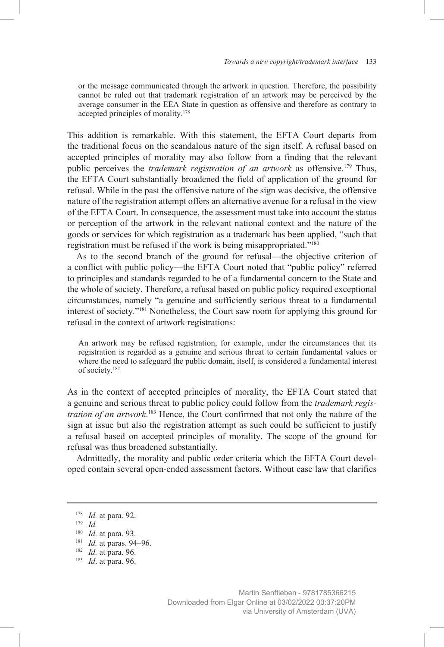or the message communicated through the artwork in question. Therefore, the possibility cannot be ruled out that trademark registration of an artwork may be perceived by the average consumer in the EEA State in question as offensive and therefore as contrary to accepted principles of morality.178

This addition is remarkable. With this statement, the EFTA Court departs from the traditional focus on the scandalous nature of the sign itself. A refusal based on accepted principles of morality may also follow from a finding that the relevant public perceives the *trademark registration of an artwork* as offensive.179 Thus, the EFTA Court substantially broadened the field of application of the ground for refusal. While in the past the offensive nature of the sign was decisive, the offensive nature of the registration attempt offers an alternative avenue for a refusal in the view of the EFTA Court. In consequence, the assessment must take into account the status or perception of the artwork in the relevant national context and the nature of the goods or services for which registration as a trademark has been applied, "such that registration must be refused if the work is being misappropriated."180

As to the second branch of the ground for refusal—the objective criterion of a conflict with public policy—the EFTA Court noted that "public policy" referred to principles and standards regarded to be of a fundamental concern to the State and the whole of society. Therefore, a refusal based on public policy required exceptional circumstances, namely "a genuine and sufficiently serious threat to a fundamental interest of society."181 Nonetheless, the Court saw room for applying this ground for refusal in the context of artwork registrations:

An artwork may be refused registration, for example, under the circumstances that its registration is regarded as a genuine and serious threat to certain fundamental values or where the need to safeguard the public domain, itself, is considered a fundamental interest of society.182

As in the context of accepted principles of morality, the EFTA Court stated that a genuine and serious threat to public policy could follow from the *trademark registration of an artwork*. 183 Hence, the Court confirmed that not only the nature of the sign at issue but also the registration attempt as such could be sufficient to justify a refusal based on accepted principles of morality. The scope of the ground for refusal was thus broadened substantially.

Admittedly, the morality and public order criteria which the EFTA Court developed contain several open-ended assessment factors. Without case law that clarifies

<sup>178</sup> *Id.* at para. 92.

<sup>179</sup> *Id.*

<sup>180</sup> *Id.* at para. 93.

<sup>181</sup> *Id.* at paras. 94–96.

<sup>182</sup> *Id.* at para. 96.

<sup>183</sup> *Id*. at para. 96.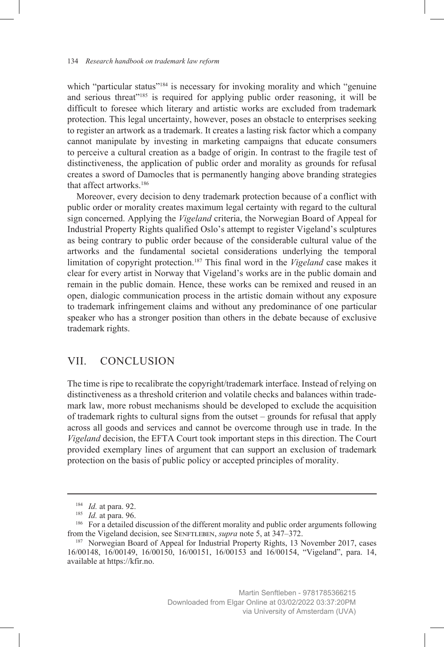which "particular status"<sup>184</sup> is necessary for invoking morality and which "genuine" and serious threat<sup>"185</sup> is required for applying public order reasoning, it will be difficult to foresee which literary and artistic works are excluded from trademark protection. This legal uncertainty, however, poses an obstacle to enterprises seeking to register an artwork as a trademark. It creates a lasting risk factor which a company cannot manipulate by investing in marketing campaigns that educate consumers to perceive a cultural creation as a badge of origin. In contrast to the fragile test of distinctiveness, the application of public order and morality as grounds for refusal creates a sword of Damocles that is permanently hanging above branding strategies that affect artworks<sup>186</sup>

Moreover, every decision to deny trademark protection because of a conflict with public order or morality creates maximum legal certainty with regard to the cultural sign concerned. Applying the *Vigeland* criteria, the Norwegian Board of Appeal for Industrial Property Rights qualified Oslo's attempt to register Vigeland's sculptures as being contrary to public order because of the considerable cultural value of the artworks and the fundamental societal considerations underlying the temporal limitation of copyright protection.187 This final word in the *Vigeland* case makes it clear for every artist in Norway that Vigeland's works are in the public domain and remain in the public domain. Hence, these works can be remixed and reused in an open, dialogic communication process in the artistic domain without any exposure to trademark infringement claims and without any predominance of one particular speaker who has a stronger position than others in the debate because of exclusive trademark rights.

# VII. CONCLUSION

The time is ripe to recalibrate the copyright/trademark interface. Instead of relying on distinctiveness as a threshold criterion and volatile checks and balances within trademark law, more robust mechanisms should be developed to exclude the acquisition of trademark rights to cultural signs from the outset – grounds for refusal that apply across all goods and services and cannot be overcome through use in trade. In the *Vigeland* decision, the EFTA Court took important steps in this direction. The Court provided exemplary lines of argument that can support an exclusion of trademark protection on the basis of public policy or accepted principles of morality.

<sup>184</sup> *Id.* at para. 92.

<sup>185</sup> *Id.* at para. 96.

<sup>&</sup>lt;sup>186</sup> For a detailed discussion of the different morality and public order arguments following from the Vigeland decision, see Senftleben, *supra* note 5, at 347–372.

<sup>&</sup>lt;sup>187</sup> Norwegian Board of Appeal for Industrial Property Rights, 13 November 2017, cases 16/00148, 16/00149, 16/00150, 16/00151, 16/00153 and 16/00154, "Vigeland", para. 14, available at https://kfir.no.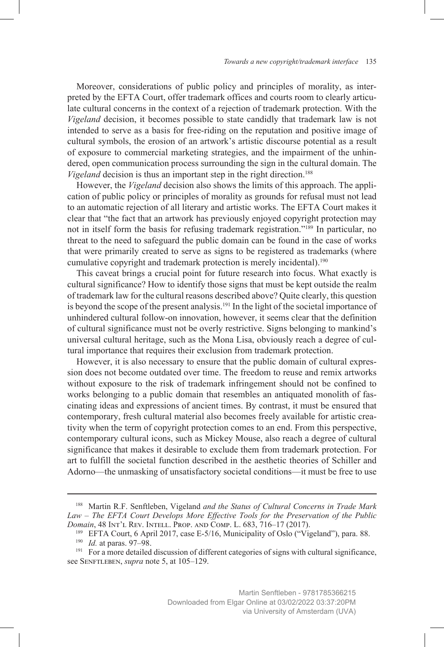Moreover, considerations of public policy and principles of morality, as interpreted by the EFTA Court, offer trademark offices and courts room to clearly articulate cultural concerns in the context of a rejection of trademark protection. With the *Vigeland* decision, it becomes possible to state candidly that trademark law is not intended to serve as a basis for free-riding on the reputation and positive image of cultural symbols, the erosion of an artwork's artistic discourse potential as a result of exposure to commercial marketing strategies, and the impairment of the unhindered, open communication process surrounding the sign in the cultural domain. The *Vigeland* decision is thus an important step in the right direction.<sup>188</sup>

However, the *Vigeland* decision also shows the limits of this approach. The application of public policy or principles of morality as grounds for refusal must not lead to an automatic rejection of all literary and artistic works. The EFTA Court makes it clear that "the fact that an artwork has previously enjoyed copyright protection may not in itself form the basis for refusing trademark registration."189 In particular, no threat to the need to safeguard the public domain can be found in the case of works that were primarily created to serve as signs to be registered as trademarks (where cumulative copyright and trademark protection is merely incidental).190

This caveat brings a crucial point for future research into focus. What exactly is cultural significance? How to identify those signs that must be kept outside the realm of trademark law for the cultural reasons described above? Quite clearly, this question is beyond the scope of the present analysis.<sup>191</sup> In the light of the societal importance of unhindered cultural follow-on innovation, however, it seems clear that the definition of cultural significance must not be overly restrictive. Signs belonging to mankind's universal cultural heritage, such as the Mona Lisa, obviously reach a degree of cultural importance that requires their exclusion from trademark protection.

However, it is also necessary to ensure that the public domain of cultural expression does not become outdated over time. The freedom to reuse and remix artworks without exposure to the risk of trademark infringement should not be confined to works belonging to a public domain that resembles an antiquated monolith of fascinating ideas and expressions of ancient times. By contrast, it must be ensured that contemporary, fresh cultural material also becomes freely available for artistic creativity when the term of copyright protection comes to an end. From this perspective, contemporary cultural icons, such as Mickey Mouse, also reach a degree of cultural significance that makes it desirable to exclude them from trademark protection. For art to fulfill the societal function described in the aesthetic theories of Schiller and Adorno—the unmasking of unsatisfactory societal conditions—it must be free to use

<sup>188</sup> Martin R.F. Senftleben, Vigeland *and the Status of Cultural Concerns in Trade Mark Law – The EFTA Court Develops More Effective Tools for the Preservation of the Public Domain*, 48 Int'l Rev. Intell. Prop. and Comp. L. 683, 716–17 (2017).

<sup>189</sup> EFTA Court, 6 April 2017, case E-5/16, Municipality of Oslo ("Vigeland"), para. 88.

<sup>190</sup> *Id.* at paras. 97–98.

<sup>&</sup>lt;sup>191</sup> For a more detailed discussion of different categories of signs with cultural significance, see SENFTLEBEN, *supra* note 5, at 105–129.